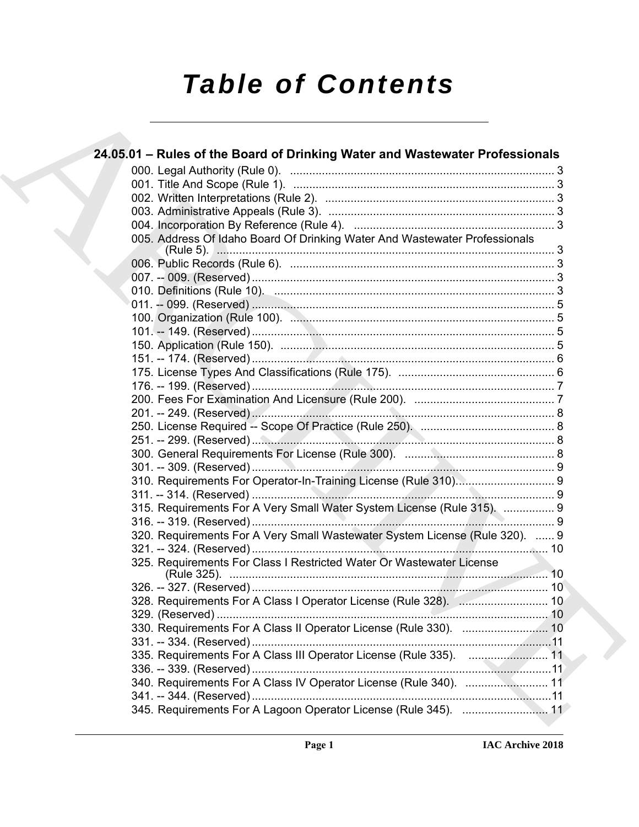# *Table of Contents*

| 24.05.01 – Rules of the Board of Drinking Water and Wastewater Professionals |  |
|------------------------------------------------------------------------------|--|
|                                                                              |  |
|                                                                              |  |
|                                                                              |  |
|                                                                              |  |
|                                                                              |  |
| 005. Address Of Idaho Board Of Drinking Water And Wastewater Professionals   |  |
|                                                                              |  |
|                                                                              |  |
|                                                                              |  |
|                                                                              |  |
|                                                                              |  |
|                                                                              |  |
|                                                                              |  |
|                                                                              |  |
|                                                                              |  |
|                                                                              |  |
|                                                                              |  |
|                                                                              |  |
|                                                                              |  |
|                                                                              |  |
|                                                                              |  |
| 310. Requirements For Operator-In-Training License (Rule 310) 9              |  |
|                                                                              |  |
| 315. Requirements For A Very Small Water System License (Rule 315).  9       |  |
|                                                                              |  |
| 320. Requirements For A Very Small Wastewater System License (Rule 320).  9  |  |
|                                                                              |  |
| 325. Requirements For Class I Restricted Water Or Wastewater License         |  |
|                                                                              |  |
| 328. Requirements For A Class I Operator License (Rule 328).  10             |  |
|                                                                              |  |
|                                                                              |  |
|                                                                              |  |
| 335. Requirements For A Class III Operator License (Rule 335).  11           |  |
|                                                                              |  |
| 340. Requirements For A Class IV Operator License (Rule 340).  11            |  |
| 345. Requirements For A Lagoon Operator License (Rule 345).  11              |  |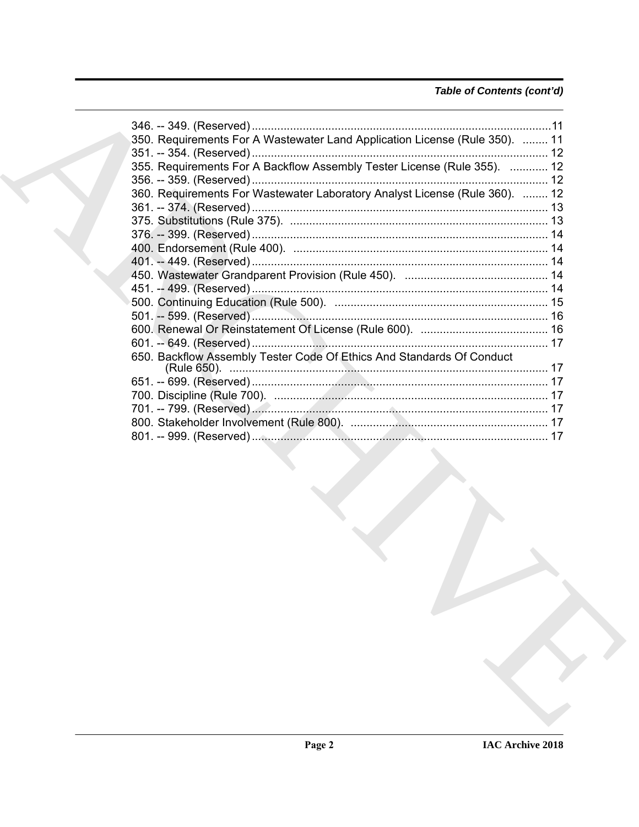### Table of Contents (cont'd)

| 350. Requirements For A Wastewater Land Application License (Rule 350).  11 |  |
|-----------------------------------------------------------------------------|--|
|                                                                             |  |
| 355. Requirements For A Backflow Assembly Tester License (Rule 355).  12    |  |
|                                                                             |  |
| 360. Requirements For Wastewater Laboratory Analyst License (Rule 360).  12 |  |
|                                                                             |  |
|                                                                             |  |
|                                                                             |  |
|                                                                             |  |
|                                                                             |  |
|                                                                             |  |
|                                                                             |  |
|                                                                             |  |
|                                                                             |  |
|                                                                             |  |
|                                                                             |  |
| 650. Backflow Assembly Tester Code Of Ethics And Standards Of Conduct       |  |
|                                                                             |  |
|                                                                             |  |
|                                                                             |  |
|                                                                             |  |
|                                                                             |  |
|                                                                             |  |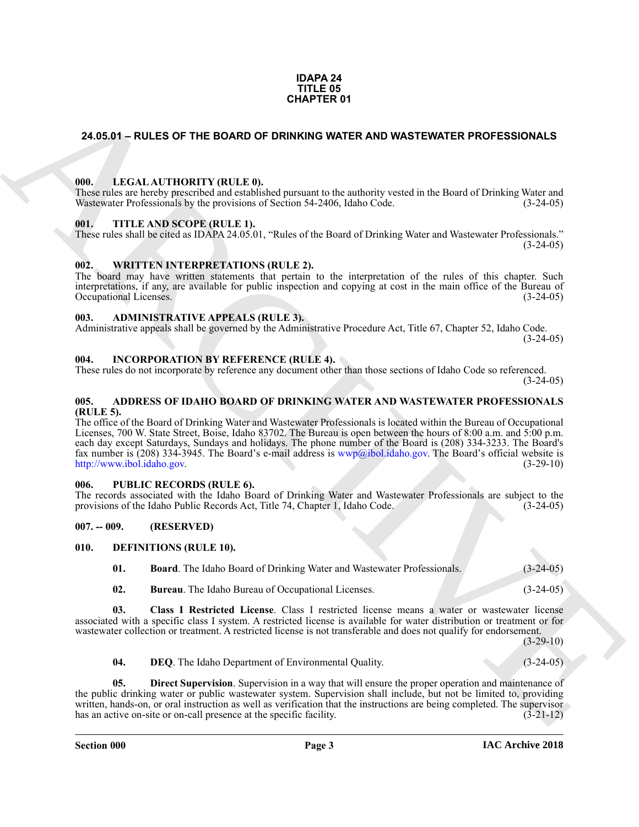#### **IDAPA 24 TITLE 05 CHAPTER 01**

#### <span id="page-2-0"></span>**24.05.01 – RULES OF THE BOARD OF DRINKING WATER AND WASTEWATER PROFESSIONALS**

#### <span id="page-2-19"></span><span id="page-2-1"></span>**000. LEGAL AUTHORITY (RULE 0).**

These rules are hereby prescribed and established pursuant to the authority vested in the Board of Drinking Water and Wastewater Professionals by the provisions of Section 54-2406, Idaho Code. (3-24-05)

#### <span id="page-2-21"></span><span id="page-2-2"></span>**001. TITLE AND SCOPE (RULE 1).**

These rules shall be cited as IDAPA 24.05.01, "Rules of the Board of Drinking Water and Wastewater Professionals."  $(3-24-05)$ 

#### <span id="page-2-22"></span><span id="page-2-3"></span>**002. WRITTEN INTERPRETATIONS (RULE 2).**

The board may have written statements that pertain to the interpretation of the rules of this chapter. Such interpretations, if any, are available for public inspection and copying at cost in the main office of the Bureau of Occupational Licenses. (3-24-05)

#### <span id="page-2-11"></span><span id="page-2-4"></span>**003. ADMINISTRATIVE APPEALS (RULE 3).**

Administrative appeals shall be governed by the Administrative Procedure Act, Title 67, Chapter 52, Idaho Code.  $(3-24-05)$ 

#### <span id="page-2-18"></span><span id="page-2-5"></span>**004. INCORPORATION BY REFERENCE (RULE 4).**

These rules do not incorporate by reference any document other than those sections of Idaho Code so referenced.  $(3-24-05)$ 

#### <span id="page-2-10"></span><span id="page-2-6"></span>**005. ADDRESS OF IDAHO BOARD OF DRINKING WATER AND WASTEWATER PROFESSIONALS (RULE 5).**

**CHAPTER OF**<br>
24.05.01 – RULES OF THE BOARD OF DRIVINING WATER AND WASTEWATER PROFESSIONALS<br>
We can be entropy that the state of the state of the state of Driving Water and<br>
We can be entropy that the state of the state o The office of the Board of Drinking Water and Wastewater Professionals is located within the Bureau of Occupational Licenses, 700 W. State Street, Boise, Idaho 83702. The Bureau is open between the hours of 8:00 a.m. and 5:00 p.m. each day except Saturdays, Sundays and holidays. The phone number of the Board is (208) 334-3233. The Board's fax number is (208) 334-3945. The Board's e-mail address is  $wwp@ibol.idaho.gov$ . The Board's official website is http://www.ibol.idaho.gov. (3-29-10) http://www.ibol.idaho.gov.

#### <span id="page-2-20"></span><span id="page-2-7"></span>**006. PUBLIC RECORDS (RULE 6).**

The records associated with the Idaho Board of Drinking Water and Wastewater Professionals are subject to the provisions of the Idaho Public Records Act, Title 74, Chapter 1, Idaho Code. (3-24-05) provisions of the Idaho Public Records Act, Title 74, Chapter 1, Idaho Code.

#### <span id="page-2-8"></span>**007. -- 009. (RESERVED)**

#### <span id="page-2-9"></span>**010. DEFINITIONS (RULE 10).**

<span id="page-2-13"></span><span id="page-2-12"></span>**01. Board**. The Idaho Board of Drinking Water and Wastewater Professionals. (3-24-05)

<span id="page-2-15"></span><span id="page-2-14"></span>**02. Bureau**. The Idaho Bureau of Occupational Licenses. (3-24-05)

**03. Class I Restricted License**. Class I restricted license means a water or wastewater license associated with a specific class I system. A restricted license is available for water distribution or treatment or for wastewater collection or treatment. A restricted license is not transferable and does not qualify for endorsement.

 $(3-29-10)$ 

<span id="page-2-17"></span><span id="page-2-16"></span>**04. DEQ**. The Idaho Department of Environmental Quality. (3-24-05)

**Direct Supervision**. Supervision in a way that will ensure the proper operation and maintenance of the public drinking water or public wastewater system. Supervision shall include, but not be limited to, providing written, hands-on, or oral instruction as well as verification that the instructions are being completed. The supervisor has an active on-site or on-call presence at the specific facility. (3-21-12) has an active on-site or on-call presence at the specific facility.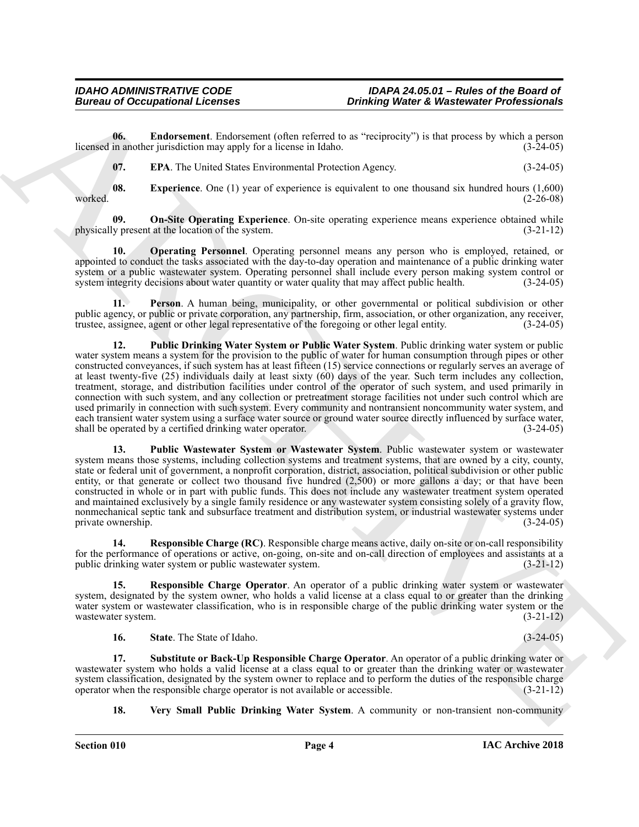**06. Endorsement**. Endorsement (often referred to as "reciprocity") is that process by which a person licensed in another jurisdiction may apply for a license in Idaho. (3-24-05)

<span id="page-3-3"></span><span id="page-3-2"></span><span id="page-3-1"></span><span id="page-3-0"></span>**07. EPA**. The United States Environmental Protection Agency. (3-24-05)

**08. Experience**. One (1) year of experience is equivalent to one thousand six hundred hours (1,600) worked. **(2-26-08)** (2-26-08)

**09.** On-Site Operating Experience. On-site operating experience means experience obtained while y present at the location of the system.  $(3-21-12)$ physically present at the location of the system.

<span id="page-3-4"></span>**10. Operating Personnel**. Operating personnel means any person who is employed, retained, or appointed to conduct the tasks associated with the day-to-day operation and maintenance of a public drinking water system or a public wastewater system. Operating personnel shall include every person making system control or system integrity decisions about water quantity or water quality that may affect public health. (3-24-05)

<span id="page-3-6"></span><span id="page-3-5"></span>**11. Person**. A human being, municipality, or other governmental or political subdivision or other public agency, or public or private corporation, any partnership, firm, association, or other organization, any receiver, trustee, assignee, agent or other legal representative of the foregoing or other legal entity. (3-24-05)

Bureau of Occupational Lebences<br>
Units (Exchange Points and Technical Units (Exchange Points and Technical Units (Exchange Points and Technical Units (Exchange Points and Technical Units (Exchange Points and Technical Uni **12. Public Drinking Water System or Public Water System**. Public drinking water system or public water system means a system for the provision to the public of water for human consumption through pipes or other constructed conveyances, if such system has at least fifteen (15) service connections or regularly serves an average of at least twenty-five (25) individuals daily at least sixty (60) days of the year. Such term includes any collection, treatment, storage, and distribution facilities under control of the operator of such system, and used primarily in connection with such system, and any collection or pretreatment storage facilities not under such control which are used primarily in connection with such system. Every community and nontransient noncommunity water system, and each transient water system using a surface water source or ground water source directly influenced by surface water, shall be operated by a certified drinking water operator. (3-24-05)

<span id="page-3-7"></span>**13. Public Wastewater System or Wastewater System**. Public wastewater system or wastewater system means those systems, including collection systems and treatment systems, that are owned by a city, county, state or federal unit of government, a nonprofit corporation, district, association, political subdivision or other public entity, or that generate or collect two thousand five hundred (2,500) or more gallons a day; or that have been constructed in whole or in part with public funds. This does not include any wastewater treatment system operated and maintained exclusively by a single family residence or any wastewater system consisting solely of a gravity flow, nonmechanical septic tank and subsurface treatment and distribution system, or industrial wastewater systems under private ownership. (3-24-05)

<span id="page-3-8"></span>**14. Responsible Charge (RC)**. Responsible charge means active, daily on-site or on-call responsibility for the performance of operations or active, on-going, on-site and on-call direction of employees and assistants at a public drinking water system or public wastewater system. (3-21-12)

**15. Responsible Charge Operator**. An operator of a public drinking water system or wastewater system, designated by the system owner, who holds a valid license at a class equal to or greater than the drinking water system or wastewater classification, who is in responsible charge of the public drinking water system or the wastewater system. (3-21-12)

<span id="page-3-11"></span><span id="page-3-10"></span><span id="page-3-9"></span>**16. State**. The State of Idaho. (3-24-05)

**17. Substitute or Back-Up Responsible Charge Operator**. An operator of a public drinking water or wastewater system who holds a valid license at a class equal to or greater than the drinking water or wastewater system classification, designated by the system owner to replace and to perform the duties of the responsible charge operator when the responsible charge operator is not available or accessible. (3-21-12) operator when the responsible charge operator is not available or accessible.

<span id="page-3-12"></span>**18. Very Small Public Drinking Water System**. A community or non-transient non-community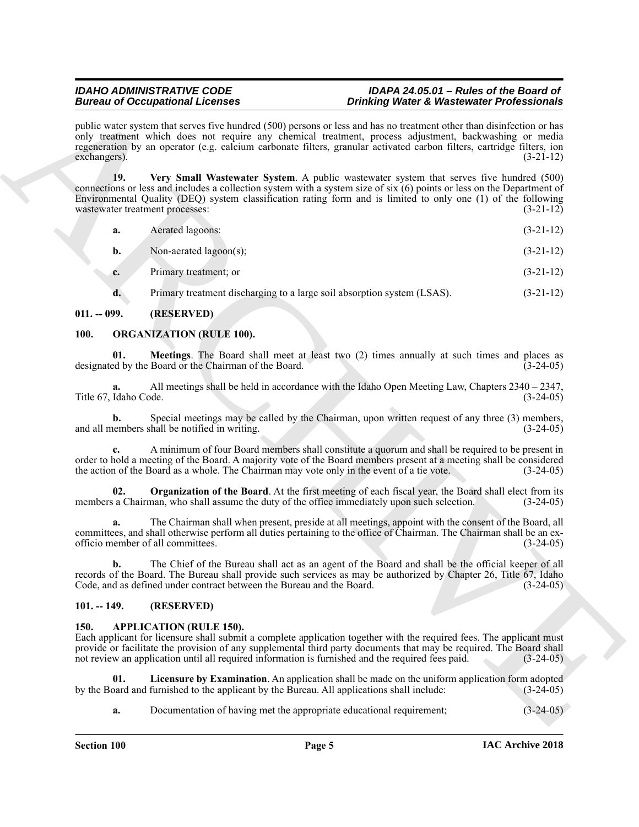| <b>Bureau of Occupational Licenses</b>                                                                                              | <b>Drinking Water &amp; Wastewater Professionals</b>                                                                                                                                                                                                                                                                                                                      |
|-------------------------------------------------------------------------------------------------------------------------------------|---------------------------------------------------------------------------------------------------------------------------------------------------------------------------------------------------------------------------------------------------------------------------------------------------------------------------------------------------------------------------|
| exchangers).                                                                                                                        | public water system that serves five hundred (500) persons or less and has no treatment other than disinfection or has<br>only treatment which does not require any chemical treatment, process adjustment, backwashing or media<br>regeneration by an operator (e.g. calcium carbonate filters, granular activated carbon filters, cartridge filters, ion<br>$(3-21-12)$ |
| 19.<br>wastewater treatment processes:                                                                                              | Very Small Wastewater System. A public wastewater system that serves five hundred (500)<br>connections or less and includes a collection system with a system size of six (6) points or less on the Department of<br>Environmental Quality (DEQ) system classification rating form and is limited to only one (1) of the following<br>$(3-21-12)$                         |
| Aerated lagoons:<br>a.                                                                                                              | $(3-21-12)$                                                                                                                                                                                                                                                                                                                                                               |
| Non-aerated lagoon(s);<br>b.                                                                                                        | $(3-21-12)$                                                                                                                                                                                                                                                                                                                                                               |
| Primary treatment; or<br>c.                                                                                                         | $(3-21-12)$                                                                                                                                                                                                                                                                                                                                                               |
| Primary treatment discharging to a large soil absorption system (LSAS).<br>d.                                                       | $(3-21-12)$                                                                                                                                                                                                                                                                                                                                                               |
| (RESERVED)<br>$011. - 099.$                                                                                                         |                                                                                                                                                                                                                                                                                                                                                                           |
| <b>ORGANIZATION (RULE 100).</b>                                                                                                     |                                                                                                                                                                                                                                                                                                                                                                           |
| 01.<br>designated by the Board or the Chairman of the Board.                                                                        | Meetings. The Board shall meet at least two (2) times annually at such times and places as<br>$(3-24-05)$                                                                                                                                                                                                                                                                 |
| a.<br>Title 67, Idaho Code.                                                                                                         | All meetings shall be held in accordance with the Idaho Open Meeting Law, Chapters $2340 - 2347$ ,<br>$(3-24-05)$                                                                                                                                                                                                                                                         |
| b.<br>and all members shall be notified in writing.                                                                                 | Special meetings may be called by the Chairman, upon written request of any three (3) members,<br>$(3-24-05)$                                                                                                                                                                                                                                                             |
| $c_{\cdot}$<br>the action of the Board as a whole. The Chairman may vote only in the event of a tie vote.                           | A minimum of four Board members shall constitute a quorum and shall be required to be present in<br>order to hold a meeting of the Board. A majority vote of the Board members present at a meeting shall be considered<br>$(3-24-05)$                                                                                                                                    |
| 02.<br>members a Chairman, who shall assume the duty of the office immediately upon such selection.                                 | <b>Organization of the Board</b> . At the first meeting of each fiscal year, the Board shall elect from its<br>$(3-24-05)$                                                                                                                                                                                                                                                |
| a.<br>officio member of all committees.                                                                                             | The Chairman shall when present, preside at all meetings, appoint with the consent of the Board, all<br>committees, and shall otherwise perform all duties pertaining to the office of Chairman. The Chairman shall be an ex-<br>$(3-24-05)$                                                                                                                              |
| Code, and as defined under contract between the Bureau and the Board.                                                               | The Chief of the Bureau shall act as an agent of the Board and shall be the official keeper of all<br>records of the Board. The Bureau shall provide such services as may be authorized by Chapter 26, Title 67, Idaho<br>$(3-24-05)$                                                                                                                                     |
| $101. - 149.$<br>(RESERVED)                                                                                                         |                                                                                                                                                                                                                                                                                                                                                                           |
| <b>APPLICATION (RULE 150).</b><br>not review an application until all required information is furnished and the required fees paid. | Each applicant for licensure shall submit a complete application together with the required fees. The applicant must<br>provide or facilitate the provision of any supplemental third party documents that may be required. The Board shall<br>$(3-24-05)$                                                                                                                |
| 01.<br>by the Board and furnished to the applicant by the Bureau. All applications shall include:                                   | Licensure by Examination. An application shall be made on the uniform application form adopted<br>$(3-24-05)$                                                                                                                                                                                                                                                             |
| Documentation of having met the appropriate educational requirement;<br>a.                                                          | $(3-24-05)$                                                                                                                                                                                                                                                                                                                                                               |

#### <span id="page-4-6"></span><span id="page-4-0"></span>**011. -- 099. (RESERVED)**

### <span id="page-4-8"></span><span id="page-4-7"></span><span id="page-4-1"></span>**100. ORGANIZATION (RULE 100).**

#### <span id="page-4-9"></span><span id="page-4-2"></span>**101. -- 149. (RESERVED)**

#### <span id="page-4-5"></span><span id="page-4-4"></span><span id="page-4-3"></span>**150. APPLICATION (RULE 150).**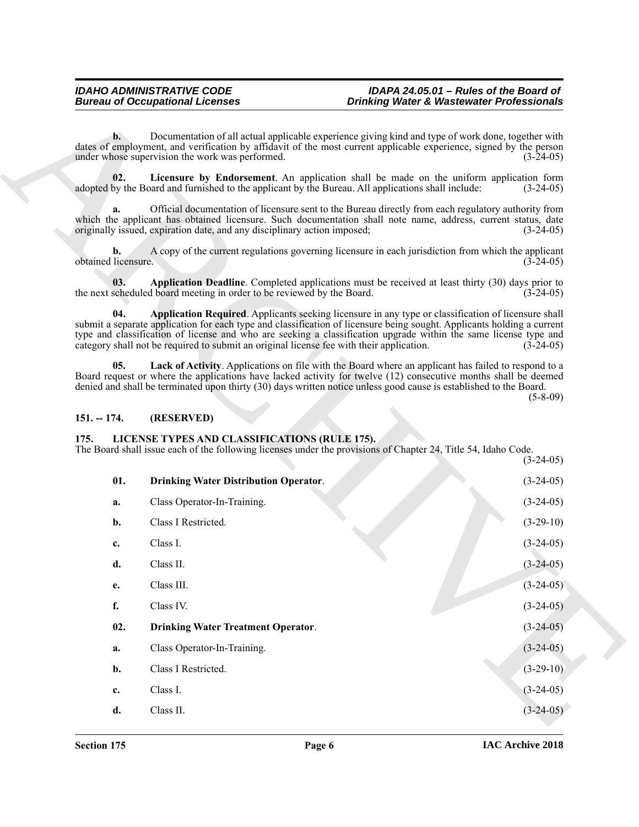#### <span id="page-5-4"></span><span id="page-5-3"></span><span id="page-5-2"></span><span id="page-5-0"></span>**151. -- 174. (RESERVED)**

### <span id="page-5-8"></span><span id="page-5-7"></span><span id="page-5-6"></span><span id="page-5-1"></span>**175. LICENSE TYPES AND CLASSIFICATIONS (RULE 175).**

<span id="page-5-5"></span>

|                           | <b>Bureau of Occupational Licenses</b>                                                                                                                                                                                                                                                                                                                                                                                                        | <b>Drinking Water &amp; Wastewater Professionals</b> |                            |
|---------------------------|-----------------------------------------------------------------------------------------------------------------------------------------------------------------------------------------------------------------------------------------------------------------------------------------------------------------------------------------------------------------------------------------------------------------------------------------------|------------------------------------------------------|----------------------------|
| $\mathbf{b}$ .            | Documentation of all actual applicable experience giving kind and type of work done, together with<br>dates of employment, and verification by affidavit of the most current applicable experience, signed by the person<br>under whose supervision the work was performed.                                                                                                                                                                   |                                                      | $(3-24-05)$                |
| 02.                       | Licensure by Endorsement. An application shall be made on the uniform application form<br>adopted by the Board and furnished to the applicant by the Bureau. All applications shall include:                                                                                                                                                                                                                                                  |                                                      | $(3-24-05)$                |
| a.                        | Official documentation of licensure sent to the Bureau directly from each regulatory authority from<br>which the applicant has obtained licensure. Such documentation shall note name, address, current status, date<br>originally issued, expiration date, and any disciplinary action imposed;                                                                                                                                              |                                                      | $(3-24-05)$                |
| b.<br>obtained licensure. | A copy of the current regulations governing licensure in each jurisdiction from which the applicant                                                                                                                                                                                                                                                                                                                                           |                                                      | $(3-24-05)$                |
| 03.                       | Application Deadline. Completed applications must be received at least thirty (30) days prior to<br>the next scheduled board meeting in order to be reviewed by the Board.                                                                                                                                                                                                                                                                    |                                                      | $(3-24-05)$                |
| 04.                       | Application Required. Applicants seeking licensure in any type or classification of licensure shall<br>submit a separate application for each type and classification of licensure being sought. Applicants holding a current<br>type and classification of license and who are seeking a classification upgrade within the same license type and<br>category shall not be required to submit an original license fee with their application. |                                                      | $(3-24-05)$                |
| 05.                       | Lack of Activity. Applications on file with the Board where an applicant has failed to respond to a<br>Board request or where the applications have lacked activity for twelve (12) consecutive months shall be deemed<br>denied and shall be terminated upon thirty (30) days written notice unless good cause is established to the Board.                                                                                                  |                                                      |                            |
|                           |                                                                                                                                                                                                                                                                                                                                                                                                                                               |                                                      | $(5-8-09)$                 |
| $151. - 174.$             | (RESERVED)                                                                                                                                                                                                                                                                                                                                                                                                                                    |                                                      |                            |
| 175.                      | LICENSE TYPES AND CLASSIFICATIONS (RULE 175).<br>The Board shall issue each of the following licenses under the provisions of Chapter 24, Title 54, Idaho Code.                                                                                                                                                                                                                                                                               |                                                      |                            |
| 01.                       | <b>Drinking Water Distribution Operator.</b>                                                                                                                                                                                                                                                                                                                                                                                                  |                                                      | $(3-24-05)$<br>$(3-24-05)$ |
| a.                        | Class Operator-In-Training.                                                                                                                                                                                                                                                                                                                                                                                                                   |                                                      | $(3-24-05)$                |
| b.                        | Class I Restricted.                                                                                                                                                                                                                                                                                                                                                                                                                           |                                                      | $(3-29-10)$                |
| c.                        | Class I.                                                                                                                                                                                                                                                                                                                                                                                                                                      |                                                      | $(3-24-05)$                |
| d.                        | Class II.                                                                                                                                                                                                                                                                                                                                                                                                                                     |                                                      | $(3-24-05)$                |
| e.                        | Class III.                                                                                                                                                                                                                                                                                                                                                                                                                                    |                                                      | $(3-24-05)$                |
| f.                        | Class IV.                                                                                                                                                                                                                                                                                                                                                                                                                                     |                                                      | $(3-24-05)$                |
| 02.                       | <b>Drinking Water Treatment Operator.</b>                                                                                                                                                                                                                                                                                                                                                                                                     |                                                      | $(3-24-05)$                |
| a.                        | Class Operator-In-Training.                                                                                                                                                                                                                                                                                                                                                                                                                   |                                                      | $(3-24-05)$                |
| b.                        | Class I Restricted.                                                                                                                                                                                                                                                                                                                                                                                                                           |                                                      | $(3-29-10)$                |
| c.                        | Class I.                                                                                                                                                                                                                                                                                                                                                                                                                                      |                                                      | $(3-24-05)$                |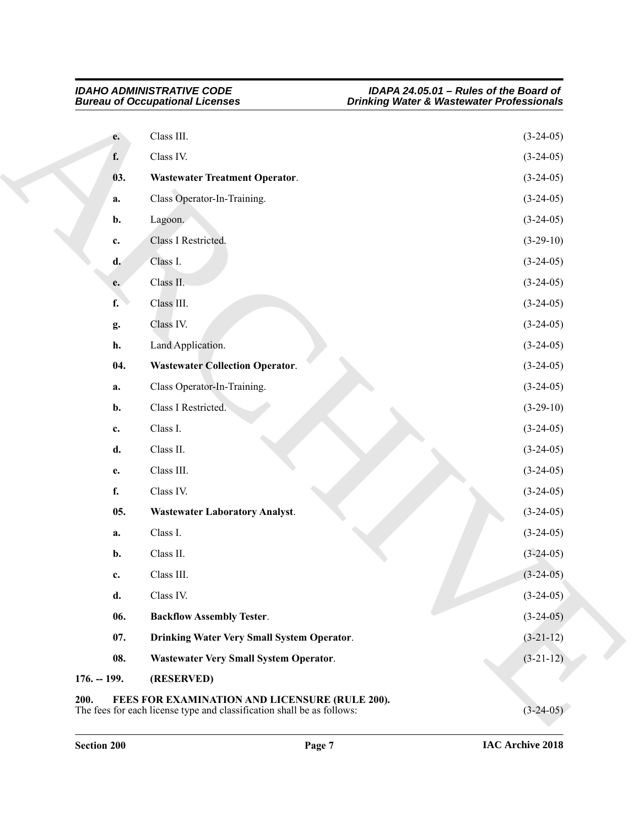<span id="page-6-8"></span><span id="page-6-7"></span><span id="page-6-6"></span><span id="page-6-5"></span><span id="page-6-4"></span><span id="page-6-3"></span><span id="page-6-2"></span><span id="page-6-1"></span><span id="page-6-0"></span>

|               | <b>Bureau of Occupational Licenses</b>                                                                                   | <b>Drinking Water &amp; Wastewater Professionals</b> |
|---------------|--------------------------------------------------------------------------------------------------------------------------|------------------------------------------------------|
| e.            | Class III.                                                                                                               | $(3-24-05)$                                          |
| f.            | Class IV.                                                                                                                | $(3-24-05)$                                          |
| 03.           | <b>Wastewater Treatment Operator.</b>                                                                                    | $(3-24-05)$                                          |
| a.            | Class Operator-In-Training.                                                                                              | $(3-24-05)$                                          |
| b.            | Lagoon.                                                                                                                  | $(3-24-05)$                                          |
| c.            | Class I Restricted.                                                                                                      | $(3-29-10)$                                          |
| d.            | Class I.                                                                                                                 | $(3-24-05)$                                          |
| e.            | Class II.                                                                                                                | $(3-24-05)$                                          |
| f.            | Class III.                                                                                                               | $(3-24-05)$                                          |
| g.            | Class IV.                                                                                                                | $(3-24-05)$                                          |
| h.            | Land Application.                                                                                                        | $(3-24-05)$                                          |
| 04.           | <b>Wastewater Collection Operator.</b>                                                                                   | $(3-24-05)$                                          |
| a.            | Class Operator-In-Training.                                                                                              | $(3-24-05)$                                          |
| b.            | Class I Restricted.                                                                                                      | $(3-29-10)$                                          |
| c.            | Class I.                                                                                                                 | $(3-24-05)$                                          |
| d.            | Class II.                                                                                                                | $(3-24-05)$                                          |
| e.            | Class III.                                                                                                               | $(3-24-05)$                                          |
| f.            | Class IV.                                                                                                                | $(3-24-05)$                                          |
| 05.           | <b>Wastewater Laboratory Analyst.</b>                                                                                    | $(3-24-05)$                                          |
| a.            | Class I.                                                                                                                 | $(3-24-05)$                                          |
| b.            | Class II.                                                                                                                | $(3-24-05)$                                          |
| c.            | Class III.                                                                                                               | $(3-24-05)$                                          |
| d.            | Class IV.                                                                                                                | $(3-24-05)$                                          |
| 06.           | <b>Backflow Assembly Tester.</b>                                                                                         | $(3-24-05)$                                          |
| 07.           | Drinking Water Very Small System Operator.                                                                               | $(3-21-12)$                                          |
| 08.           | Wastewater Very Small System Operator.                                                                                   | $(3-21-12)$                                          |
| $176. - 199.$ | (RESERVED)                                                                                                               |                                                      |
| 200.          | FEES FOR EXAMINATION AND LICENSURE (RULE 200).<br>The fees for each license type and classification shall be as follows: | $(3-24-05)$                                          |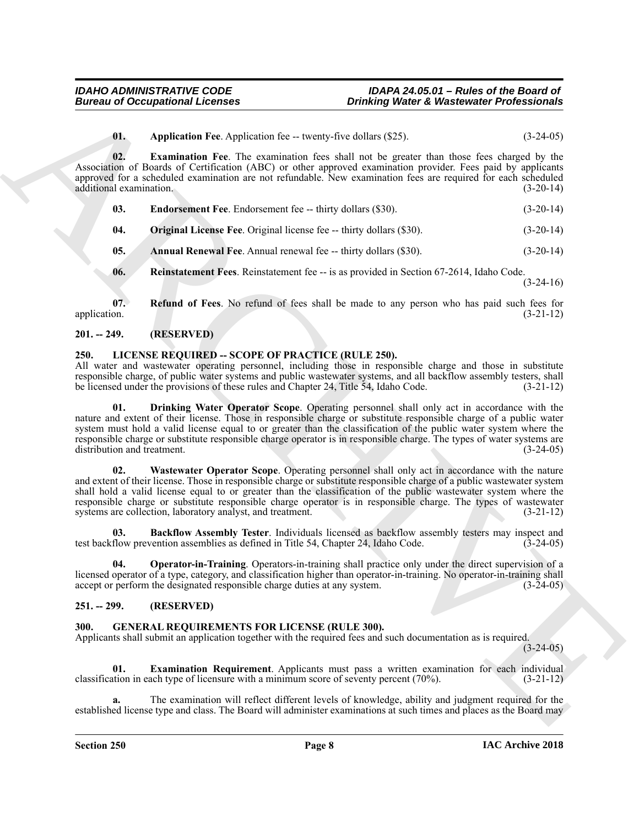<span id="page-7-7"></span><span id="page-7-5"></span>**01.** Application Fee. Application fee -- twenty-five dollars (\$25). (3-24-05)

**02. Examination Fee**. The examination fees shall not be greater than those fees charged by the Association of Boards of Certification (ABC) or other approved examination provider. Fees paid by applicants approved for a scheduled examination are not refundable. New examination fees are required for each scheduled additional examination. (3-20-14) additional examination.

<span id="page-7-6"></span>

| 03. | <b>Endorsement Fee.</b> Endorsement fee -- thirty dollars (\$30). | $(3-20-14)$ |
|-----|-------------------------------------------------------------------|-------------|
|-----|-------------------------------------------------------------------|-------------|

<span id="page-7-8"></span>**04.** Original License Fee. Original license fee -- thirty dollars (\$30). (3-20-14)

<span id="page-7-4"></span>**05. Annual Renewal Fee**. Annual renewal fee -- thirty dollars (\$30). (3-20-14)

<span id="page-7-10"></span><span id="page-7-9"></span>**06.** Reinstatement Fees. Reinstatement fee -- is as provided in Section 67-2614, Idaho Code.  $(3-24-16)$ 

**07. Refund of Fees**. No refund of fees shall be made to any person who has paid such fees for application. (3-21-12)

#### <span id="page-7-0"></span>**201. -- 249. (RESERVED)**

#### <span id="page-7-13"></span><span id="page-7-1"></span>**250. LICENSE REQUIRED -- SCOPE OF PRACTICE (RULE 250).**

<span id="page-7-15"></span>All water and wastewater operating personnel, including those in responsible charge and those in substitute responsible charge, of public water systems and public wastewater systems, and all backflow assembly testers, shall be licensed under the provisions of these rules and Chapter 24, Title 54, Idaho Code. (3-21-12)

**Bureau of Occupational Licences**<br> **Contained the explication Ex-** twenty-involved the simulation properties of the explicit of the explicit of the explicit of the explicit of the explicit of the explicit of the explicit **01. Drinking Water Operator Scope**. Operating personnel shall only act in accordance with the nature and extent of their license. Those in responsible charge or substitute responsible charge of a public water system must hold a valid license equal to or greater than the classification of the public water system where the responsible charge or substitute responsible charge operator is in responsible charge. The types of water systems are distribution and treatment. (3-24-05)

<span id="page-7-17"></span>**02. Wastewater Operator Scope**. Operating personnel shall only act in accordance with the nature and extent of their license. Those in responsible charge or substitute responsible charge of a public wastewater system shall hold a valid license equal to or greater than the classification of the public wastewater system where the responsible charge or substitute responsible charge operator is in responsible charge. The types of wastewater systems are collection, laboratory analyst, and treatment. (3-21-12)

<span id="page-7-14"></span>**03. Backflow Assembly Tester**. Individuals licensed as backflow assembly testers may inspect and test backflow prevention assemblies as defined in Title 54, Chapter 24, Idaho Code. (3-24-05)

<span id="page-7-16"></span>**04. Operator-in-Training**. Operators-in-training shall practice only under the direct supervision of a licensed operator of a type, category, and classification higher than operator-in-training. No operator-in-training shall accept or perform the designated responsible charge duties at any system. (3-24-05)

#### <span id="page-7-2"></span>**251. -- 299. (RESERVED)**

#### <span id="page-7-11"></span><span id="page-7-3"></span>**300. GENERAL REQUIREMENTS FOR LICENSE (RULE 300).**

Applicants shall submit an application together with the required fees and such documentation as is required.

 $(3-24-05)$ 

<span id="page-7-12"></span>**01. Examination Requirement**. Applicants must pass a written examination for each individual ation in each type of licensure with a minimum score of seventy percent (70%). (3-21-12) classification in each type of licensure with a minimum score of seventy percent  $(70\%)$ .

**a.** The examination will reflect different levels of knowledge, ability and judgment required for the established license type and class. The Board will administer examinations at such times and places as the Board may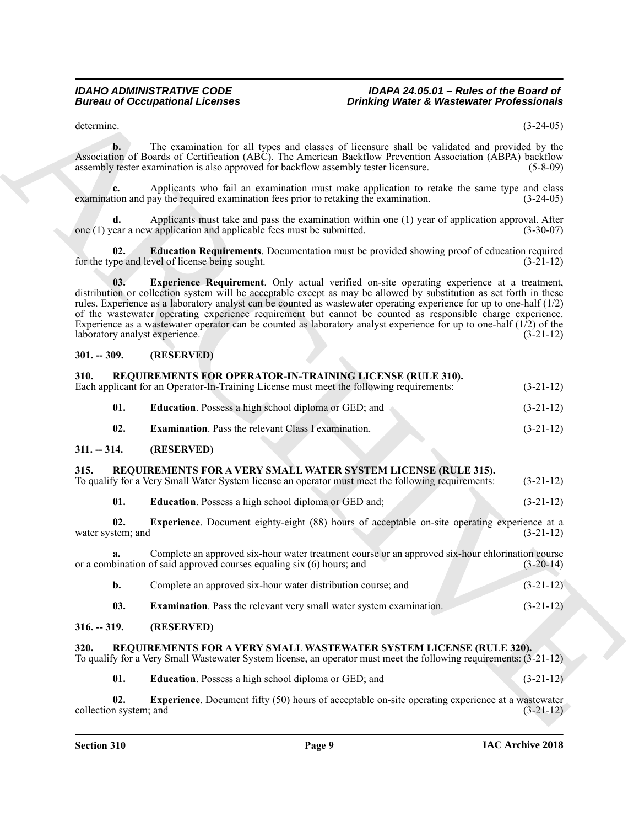determine. (3-24-05)

**b.** The examination for all types and classes of licensure shall be validated and provided by the Association of Boards of Certification (ABC). The American Backflow Prevention Association (ABPA) backflow assembly tester examination is also approved for backflow assembly tester licensure. (5-8-09)

**c.** Applicants who fail an examination must make application to retake the same type and class tion and pay the required examination fees prior to retaking the examination. (3-24-05) examination and pay the required examination fees prior to retaking the examination.

**d.** Applicants must take and pass the examination within one (1) year of application approval. After one (1) year a new application and applicable fees must be submitted.  $(3-30-07)$ 

<span id="page-8-7"></span><span id="page-8-6"></span>**02. Education Requirements**. Documentation must be provided showing proof of education required for the type and level of license being sought. (3-21-12)

Bureau of Occupational Lebences<br>
3. Orangement Contract Contract Contract Contract Contract Contract Contract Contract Contract Contract Contract Contract Contract Contract Contract Contract Contract Contract Contract Con **03. Experience Requirement**. Only actual verified on-site operating experience at a treatment, distribution or collection system will be acceptable except as may be allowed by substitution as set forth in these rules. Experience as a laboratory analyst can be counted as wastewater operating experience for up to one-half (1/2) of the wastewater operating experience requirement but cannot be counted as responsible charge experience. Experience as a wastewater operator can be counted as laboratory analyst experience for up to one-half (1/2) of the laboratory analyst experience. (3-21-12)

#### <span id="page-8-0"></span>**301. -- 309. (RESERVED)**

## <span id="page-8-15"></span><span id="page-8-1"></span>**310. REQUIREMENTS FOR OPERATOR-IN-TRAINING LICENSE (RULE 310).** Each applicant for an Operator-In-Training License must meet the following requirements:

<span id="page-8-17"></span><span id="page-8-16"></span>

| Each applicant for an Operator-In-Training License must meet the following requirements: | $(3-21-12)$ |
|------------------------------------------------------------------------------------------|-------------|
| <b>Education.</b> Possess a high school diploma or GED; and                              | $(3-21-12)$ |
| <b>Examination.</b> Pass the relevant Class I examination.                               | $(3-21-12)$ |

#### <span id="page-8-2"></span>**311. -- 314. (RESERVED)**

#### <span id="page-8-11"></span><span id="page-8-3"></span>**315. REQUIREMENTS FOR A VERY SMALL WATER SYSTEM LICENSE (RULE 315).**

| To qualify for a Very Small Water System license an operator must meet the following requirements: | $(3-21-12)$ |  |
|----------------------------------------------------------------------------------------------------|-------------|--|
|                                                                                                    |             |  |

<span id="page-8-14"></span><span id="page-8-12"></span>**01. Education**. Possess a high school diploma or GED and; (3-21-12)

**02.** Experience. Document eighty-eight (88) hours of acceptable on-site operating experience at a stem; and (3-21-12) water system; and

**a.** Complete an approved six-hour water treatment course or an approved six-hour chlorination course or a combination of said approved courses equaling six (6) hours; and (3-20-14)

- <span id="page-8-13"></span>**b.** Complete an approved six-hour water distribution course; and  $(3-21-12)$
- <span id="page-8-8"></span>**03. Examination**. Pass the relevant very small water system examination. (3-21-12)

#### <span id="page-8-4"></span>**316. -- 319. (RESERVED)**

#### <span id="page-8-5"></span>**320. REQUIREMENTS FOR A VERY SMALL WASTEWATER SYSTEM LICENSE (RULE 320).**

To qualify for a Very Small Wastewater System license, an operator must meet the following requirements: (3-21-12)

<span id="page-8-10"></span><span id="page-8-9"></span>**01. Education**. Possess a high school diploma or GED; and (3-21-12)

**02. Experience**. Document fifty (50) hours of acceptable on-site operating experience at a wastewater collection system; and (3-21-12)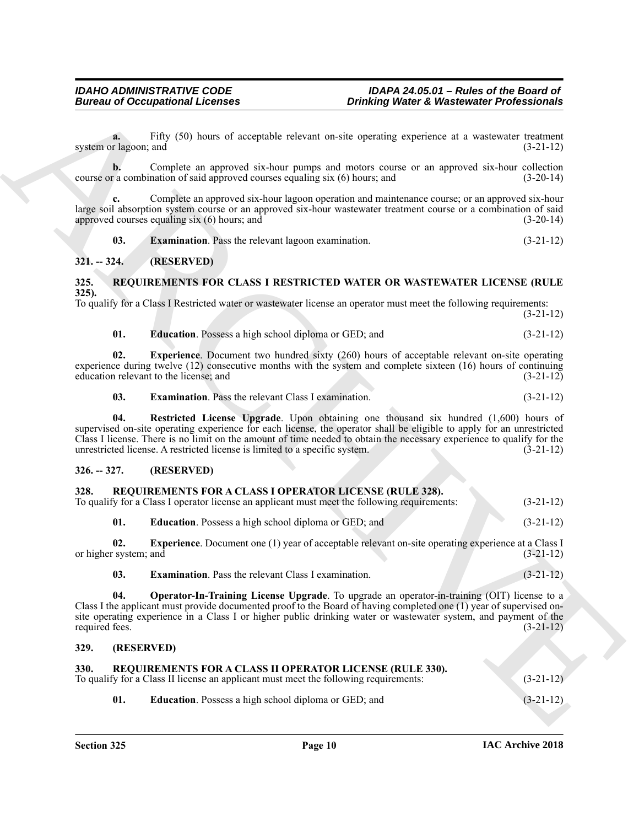**a.** Fifty (50) hours of acceptable relevant on-site operating experience at a wastewater treatment system or lagoon; and (3-21-12)

**b.** Complete an approved six-hour pumps and motors course or an approved six-hour collection course or a combination of said approved courses equaling six (6) hours; and (3-20-14)

**c.** Complete an approved six-hour lagoon operation and maintenance course; or an approved six-hour large soil absorption system course or an approved six-hour wastewater treatment course or a combination of said approved courses equaling six  $(6)$  hours; and  $(3-20-14)$ 

<span id="page-9-13"></span>**03. Examination**. Pass the relevant lagoon examination. (3-21-12)

#### <span id="page-9-0"></span>**321. -- 324. (RESERVED)**

#### <span id="page-9-14"></span><span id="page-9-1"></span>**325. REQUIREMENTS FOR CLASS I RESTRICTED WATER OR WASTEWATER LICENSE (RULE 325).**

To qualify for a Class I Restricted water or wastewater license an operator must meet the following requirements: (3-21-12)

<span id="page-9-17"></span><span id="page-9-15"></span>

| 01. |  | <b>Education.</b> Possess a high school diploma or GED; and | $(3-21-12)$ |
|-----|--|-------------------------------------------------------------|-------------|
|     |  |                                                             |             |

**02. Experience**. Document two hundred sixty (260) hours of acceptable relevant on-site operating experience during twelve (12) consecutive months with the system and complete sixteen (16) hours of continuing education relevant to the license; and (3-21-12)

<span id="page-9-18"></span><span id="page-9-16"></span>**03. Examination**. Pass the relevant Class I examination. (3-21-12)

**04. Restricted License Upgrade**. Upon obtaining one thousand six hundred (1,600) hours of supervised on-site operating experience for each license, the operator shall be eligible to apply for an unrestricted Class I license. There is no limit on the amount of time needed to obtain the necessary experience to qualify for the unrestricted license. A restricted license is limited to a specific system. (3-21-12)

#### <span id="page-9-2"></span>**326. -- 327. (RESERVED)**

### <span id="page-9-6"></span><span id="page-9-3"></span>**328. REQUIREMENTS FOR A CLASS I OPERATOR LICENSE (RULE 328).**

| To qualify for a Class I operator license an applicant must meet the following requirements: | $(3-21-12)$ |  |
|----------------------------------------------------------------------------------------------|-------------|--|
|----------------------------------------------------------------------------------------------|-------------|--|

<span id="page-9-9"></span><span id="page-9-7"></span>**01. Education**. Possess a high school diploma or GED; and (3-21-12)

**02. Experience**. Document one (1) year of acceptable relevant on-site operating experience at a Class I or higher system; and (3-21-12)

<span id="page-9-10"></span><span id="page-9-8"></span>**03. Examination**. Pass the relevant Class I examination. (3-21-12)

Bureau of Occupational Lebences<br>
Thermal Equipment of the state of the state of the state of the state of the state of the state of the state<br>
overall the state of the state of the state of the state of the state of the s **04. Operator-In-Training License Upgrade**. To upgrade an operator-in-training (OIT) license to a Class I the applicant must provide documented proof to the Board of having completed one (1) year of supervised onsite operating experience in a Class I or higher public drinking water or wastewater system, and payment of the required fees. (3-21-12)

#### <span id="page-9-4"></span>**329. (RESERVED)**

<span id="page-9-11"></span><span id="page-9-5"></span>

| 330. | <b>REQUIREMENTS FOR A CLASS II OPERATOR LICENSE (RULE 330).</b>                      |             |
|------|--------------------------------------------------------------------------------------|-------------|
|      | To qualify for a Class II license an applicant must meet the following requirements: | $(3-21-12)$ |

<span id="page-9-12"></span>**01. Education**. Possess a high school diploma or GED; and (3-21-12)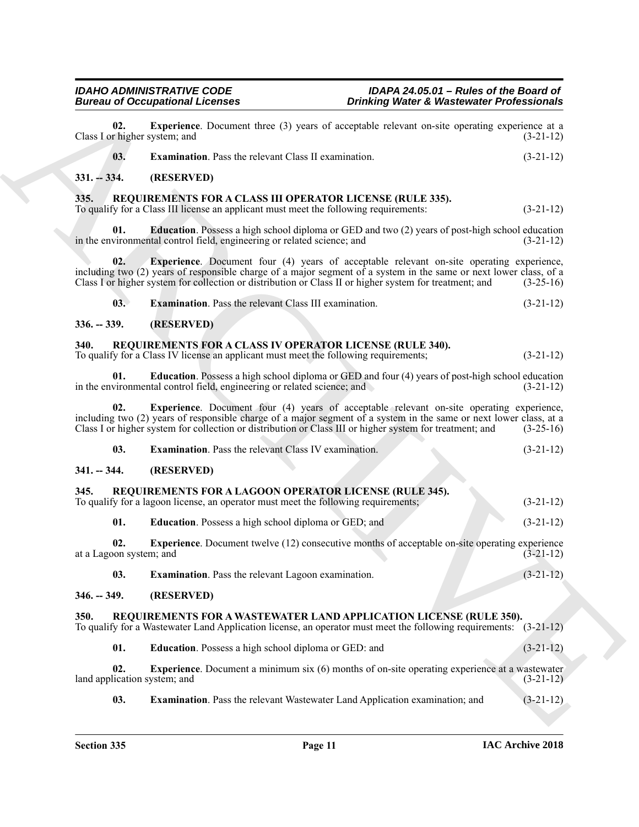<span id="page-10-25"></span><span id="page-10-24"></span><span id="page-10-23"></span><span id="page-10-22"></span><span id="page-10-21"></span><span id="page-10-20"></span><span id="page-10-19"></span><span id="page-10-18"></span><span id="page-10-17"></span><span id="page-10-16"></span><span id="page-10-15"></span><span id="page-10-14"></span><span id="page-10-13"></span><span id="page-10-12"></span><span id="page-10-11"></span><span id="page-10-10"></span><span id="page-10-9"></span><span id="page-10-8"></span><span id="page-10-7"></span><span id="page-10-6"></span><span id="page-10-5"></span><span id="page-10-4"></span><span id="page-10-3"></span><span id="page-10-2"></span><span id="page-10-1"></span><span id="page-10-0"></span>

|                                      | <b>Bureau of Occupational Licenses</b>                                                                                                                                                                                                                                                                                           | <b>Drinking Water &amp; Wastewater Professionals</b> |
|--------------------------------------|----------------------------------------------------------------------------------------------------------------------------------------------------------------------------------------------------------------------------------------------------------------------------------------------------------------------------------|------------------------------------------------------|
| 02.<br>Class I or higher system; and | Experience. Document three (3) years of acceptable relevant on-site operating experience at a                                                                                                                                                                                                                                    | $(3-21-12)$                                          |
| 03.                                  | <b>Examination.</b> Pass the relevant Class II examination.                                                                                                                                                                                                                                                                      | $(3-21-12)$                                          |
| $331. - 334.$                        | (RESERVED)                                                                                                                                                                                                                                                                                                                       |                                                      |
| 335.                                 | REQUIREMENTS FOR A CLASS III OPERATOR LICENSE (RULE 335).<br>To qualify for a Class III license an applicant must meet the following requirements:                                                                                                                                                                               | $(3-21-12)$                                          |
| 01.                                  | <b>Education</b> . Possess a high school diploma or GED and two (2) years of post-high school education<br>in the environmental control field, engineering or related science; and                                                                                                                                               | $(3-21-12)$                                          |
| 02.                                  | <b>Experience.</b> Document four (4) years of acceptable relevant on-site operating experience,<br>including two (2) years of responsible charge of a major segment of a system in the same or next lower class, of a<br>Class I or higher system for collection or distribution or Class II or higher system for treatment; and | $(3-25-16)$                                          |
| 03.                                  | <b>Examination.</b> Pass the relevant Class III examination.                                                                                                                                                                                                                                                                     | $(3-21-12)$                                          |
| $336. - 339.$                        | (RESERVED)                                                                                                                                                                                                                                                                                                                       |                                                      |
| 340.                                 | REQUIREMENTS FOR A CLASS IV OPERATOR LICENSE (RULE 340).<br>To qualify for a Class IV license an applicant must meet the following requirements;                                                                                                                                                                                 | $(3-21-12)$                                          |
| 01.                                  | <b>Education</b> . Possess a high school diploma or GED and four (4) years of post-high school education<br>in the environmental control field, engineering or related science; and                                                                                                                                              | $(3-21-12)$                                          |
| 02.                                  | Experience. Document four (4) years of acceptable relevant on-site operating experience,<br>including two (2) years of responsible charge of a major segment of a system in the same or next lower class, at a<br>Class I or higher system for collection or distribution or Class III or higher system for treatment; and       | $(3-25-16)$                                          |
| 03.                                  | <b>Examination.</b> Pass the relevant Class IV examination.                                                                                                                                                                                                                                                                      | $(3-21-12)$                                          |
| $341. - 344.$                        | (RESERVED)                                                                                                                                                                                                                                                                                                                       |                                                      |
| 345.                                 | REQUIREMENTS FOR A LAGOON OPERATOR LICENSE (RULE 345).<br>To qualify for a lagoon license, an operator must meet the following requirements;                                                                                                                                                                                     | $(3-21-12)$                                          |
| 01.                                  | <b>Education.</b> Possess a high school diploma or GED; and                                                                                                                                                                                                                                                                      | $(3-21-12)$                                          |
| 02.<br>at a Lagoon system; and       | <b>Experience</b> . Document twelve (12) consecutive months of acceptable on-site operating experience                                                                                                                                                                                                                           | $(3-21-12)$                                          |
| 03.                                  | Examination. Pass the relevant Lagoon examination.                                                                                                                                                                                                                                                                               | $(3-21-12)$                                          |
| $346. - 349.$                        | (RESERVED)                                                                                                                                                                                                                                                                                                                       |                                                      |
| 350.                                 | REQUIREMENTS FOR A WASTEWATER LAND APPLICATION LICENSE (RULE 350).<br>To qualify for a Wastewater Land Application license, an operator must meet the following requirements: (3-21-12)                                                                                                                                          |                                                      |
| 01.                                  | Education. Possess a high school diploma or GED: and                                                                                                                                                                                                                                                                             | $(3-21-12)$                                          |
| 02.                                  | <b>Experience.</b> Document a minimum six (6) months of on-site operating experience at a wastewater<br>land application system; and                                                                                                                                                                                             | $(3-21-12)$                                          |
|                                      |                                                                                                                                                                                                                                                                                                                                  |                                                      |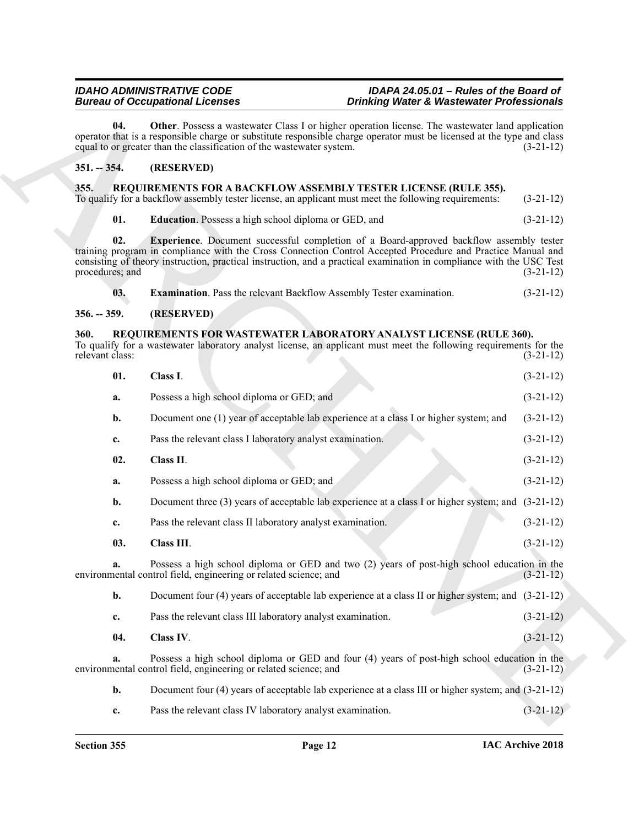#### <span id="page-11-8"></span><span id="page-11-0"></span>**351. -- 354. (RESERVED)**

#### <span id="page-11-7"></span><span id="page-11-5"></span><span id="page-11-4"></span><span id="page-11-1"></span>**355. REQUIREMENTS FOR A BACKFLOW ASSEMBLY TESTER LICENSE (RULE 355).**

#### <span id="page-11-6"></span><span id="page-11-2"></span>**356. -- 359. (RESERVED)**

#### <span id="page-11-13"></span><span id="page-11-12"></span><span id="page-11-11"></span><span id="page-11-10"></span><span id="page-11-9"></span><span id="page-11-3"></span>**360. REQUIREMENTS FOR WASTEWATER LABORATORY ANALYST LICENSE (RULE 360).**

|                                |                                                                                                                                                                                                                                                                                                                                                                  | <b>Bureau of Occupational Licenses</b>                                                                                                                                                                                                                                                                     | <b>Drinking Water &amp; Wastewater Professionals</b> |  |
|--------------------------------|------------------------------------------------------------------------------------------------------------------------------------------------------------------------------------------------------------------------------------------------------------------------------------------------------------------------------------------------------------------|------------------------------------------------------------------------------------------------------------------------------------------------------------------------------------------------------------------------------------------------------------------------------------------------------------|------------------------------------------------------|--|
|                                | 04.                                                                                                                                                                                                                                                                                                                                                              | <b>Other.</b> Possess a wastewater Class I or higher operation license. The wastewater land application<br>operator that is a responsible charge or substitute responsible charge operator must be licensed at the type and class<br>equal to or greater than the classification of the wastewater system. | $(3-21-12)$                                          |  |
| $351. - 354.$                  |                                                                                                                                                                                                                                                                                                                                                                  | (RESERVED)                                                                                                                                                                                                                                                                                                 |                                                      |  |
| 355.                           |                                                                                                                                                                                                                                                                                                                                                                  | REQUIREMENTS FOR A BACKFLOW ASSEMBLY TESTER LICENSE (RULE 355).<br>To qualify for a backflow assembly tester license, an applicant must meet the following requirements:                                                                                                                                   | $(3-21-12)$                                          |  |
|                                | 01.                                                                                                                                                                                                                                                                                                                                                              | <b>Education</b> . Possess a high school diploma or GED, and                                                                                                                                                                                                                                               | $(3-21-12)$                                          |  |
|                                | 02.<br><b>Experience</b> . Document successful completion of a Board-approved backflow assembly tester<br>training program in compliance with the Cross Connection Control Accepted Procedure and Practice Manual and<br>consisting of theory instruction, practical instruction, and a practical examination in compliance with the USC Test<br>procedures; and |                                                                                                                                                                                                                                                                                                            | $(3-21-12)$                                          |  |
|                                | 03.                                                                                                                                                                                                                                                                                                                                                              | <b>Examination.</b> Pass the relevant Backflow Assembly Tester examination.                                                                                                                                                                                                                                | $(3-21-12)$                                          |  |
| $356. - 359.$                  |                                                                                                                                                                                                                                                                                                                                                                  | (RESERVED)                                                                                                                                                                                                                                                                                                 |                                                      |  |
| <b>360.</b><br>relevant class: |                                                                                                                                                                                                                                                                                                                                                                  | REQUIREMENTS FOR WASTEWATER LABORATORY ANALYST LICENSE (RULE 360).<br>To qualify for a wastewater laboratory analyst license, an applicant must meet the following requirements for the                                                                                                                    | $(3-21-12)$                                          |  |
|                                | 01.                                                                                                                                                                                                                                                                                                                                                              | Class I.                                                                                                                                                                                                                                                                                                   | $(3-21-12)$                                          |  |
|                                | a.                                                                                                                                                                                                                                                                                                                                                               | Possess a high school diploma or GED; and                                                                                                                                                                                                                                                                  | $(3-21-12)$                                          |  |
|                                | b.                                                                                                                                                                                                                                                                                                                                                               | Document one (1) year of acceptable lab experience at a class I or higher system; and                                                                                                                                                                                                                      | $(3-21-12)$                                          |  |
|                                | c.                                                                                                                                                                                                                                                                                                                                                               | Pass the relevant class I laboratory analyst examination.                                                                                                                                                                                                                                                  | $(3-21-12)$                                          |  |
|                                | 02.                                                                                                                                                                                                                                                                                                                                                              | Class II.                                                                                                                                                                                                                                                                                                  | $(3-21-12)$                                          |  |
|                                | a.                                                                                                                                                                                                                                                                                                                                                               | Possess a high school diploma or GED; and                                                                                                                                                                                                                                                                  | $(3-21-12)$                                          |  |
|                                | b.                                                                                                                                                                                                                                                                                                                                                               | Document three (3) years of acceptable lab experience at a class I or higher system; and (3-21-12)                                                                                                                                                                                                         |                                                      |  |
|                                | c.                                                                                                                                                                                                                                                                                                                                                               | Pass the relevant class II laboratory analyst examination.                                                                                                                                                                                                                                                 | $(3-21-12)$                                          |  |
|                                | 03.                                                                                                                                                                                                                                                                                                                                                              | Class III.                                                                                                                                                                                                                                                                                                 | $(3-21-12)$                                          |  |
|                                |                                                                                                                                                                                                                                                                                                                                                                  | Possess a high school diploma or GED and two (2) years of post-high school education in the<br>environmental control field, engineering or related science; and                                                                                                                                            | $(3-21-12)$                                          |  |
|                                | b.                                                                                                                                                                                                                                                                                                                                                               | Document four (4) years of acceptable lab experience at a class II or higher system; and $(3-21-12)$                                                                                                                                                                                                       |                                                      |  |
|                                | c.                                                                                                                                                                                                                                                                                                                                                               | Pass the relevant class III laboratory analyst examination.                                                                                                                                                                                                                                                | $(3-21-12)$                                          |  |
|                                | 04.                                                                                                                                                                                                                                                                                                                                                              | Class IV.                                                                                                                                                                                                                                                                                                  | $(3-21-12)$                                          |  |
|                                | a.                                                                                                                                                                                                                                                                                                                                                               | Possess a high school diploma or GED and four (4) years of post-high school education in the<br>environmental control field, engineering or related science; and                                                                                                                                           | $(3-21-12)$                                          |  |
|                                | $\mathbf{b}$ .                                                                                                                                                                                                                                                                                                                                                   | Document four (4) years of acceptable lab experience at a class III or higher system; and (3-21-12)                                                                                                                                                                                                        |                                                      |  |
|                                |                                                                                                                                                                                                                                                                                                                                                                  |                                                                                                                                                                                                                                                                                                            |                                                      |  |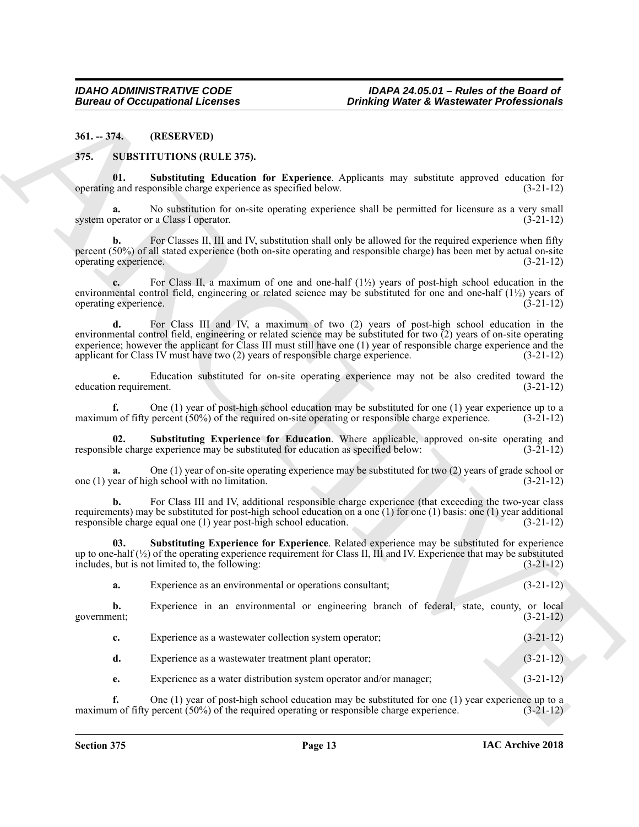<span id="page-12-0"></span>**361. -- 374. (RESERVED)**

<span id="page-12-3"></span><span id="page-12-2"></span><span id="page-12-1"></span>**375. SUBSTITUTIONS (RULE 375).**

**01. Substituting Education for Experience**. Applicants may substitute approved education for operating and responsible charge experience as specified below.

**a.** No substitution for on-site operating experience shall be permitted for licensure as a very small system operator or a Class I operator. (3-21-12)

For Classes II, III and IV, substitution shall only be allowed for the required experience when fifty percent (50%) of all stated experience (both on-site operating and responsible charge) has been met by actual on-site operating experience. (3-21-12)

**c.** For Class II, a maximum of one and one-half (1½) years of post-high school education in the environmental control field, engineering or related science may be substituted for one and one-half  $(1/2)$  years of operating experience. (3-21-12)

Bureau of Occupational Leonies<br>
34.1.-774. (IRENEUVIDA) ROULE 375.<br>
34.1.-774. (IRENEUVIDA) ROULE 375.<br>
35. SUBSTITUTIONS ROULE 375.<br>
37. SUBSTITUTIONS ROULE 375.<br>
37. SUBSTITUTIONS ROULE 375.<br>
37. SUBSTITUTIONS ROULE 375 **d.** For Class III and IV, a maximum of two (2) years of post-high school education in the environmental control field, engineering or related science may be substituted for two  $\overline{2}$ ) years of on-site operating experience; however the applicant for Class III must still have one (1) year of responsible charge experience and the applicant for Class IV must have two (2) years of responsible charge experience. (3-21-12)

**e.** Education substituted for on-site operating experience may not be also credited toward the nequirement. (3-21-12) education requirement.

**f.** One (1) year of post-high school education may be substituted for one (1) year experience up to a m of fifty percent (50%) of the required on-site operating or responsible charge experience. (3-21-12) maximum of fifty percent (50%) of the required on-site operating or responsible charge experience.

<span id="page-12-4"></span>**02. Substituting Experience for Education**. Where applicable, approved on-site operating and responsible charge experience may be substituted for education as specified below: (3-21-12)

One (1) year of on-site operating experience may be substituted for two (2) years of grade school or school with no limitation. one  $(1)$  year of high school with no limitation.

**b.** For Class III and IV, additional responsible charge experience (that exceeding the two-year class requirements) may be substituted for post-high school education on a one  $(1)$  for one  $(1)$  basis: one  $(1)$  year additional responsible charge equal one (1) year post-high school education. (3-21-12)

<span id="page-12-5"></span>**03. Substituting Experience for Experience**. Related experience may be substituted for experience up to one-half  $\left(\frac{1}{2}\right)$  of the operating experience requirement for Class II, III and IV. Experience that may be substituted includes, but is not limited to, the following: (3-21-12)

| Experience as an environmental or operations consultant:          |                        |
|-------------------------------------------------------------------|------------------------|
| Uraquianao in an anyinannagatal an anginaguing buangle of fadaugl | stoto country on loop! |

**b.** Experience in an environmental or engineering branch of federal, state, county, or local government; (3-21-12)

| Experience as a wastewater collection system operator; | $(3-21-12)$ |
|--------------------------------------------------------|-------------|
| Experience as a wastewater treatment plant operator;   | $(3-21-12)$ |

**e.** Experience as a water distribution system operator and/or manager; (3-21-12)

**f.** One (1) year of post-high school education may be substituted for one (1) year experience up to a maximum of fifty percent (50%) of the required operating or responsible charge experience.  $(3-21-12)$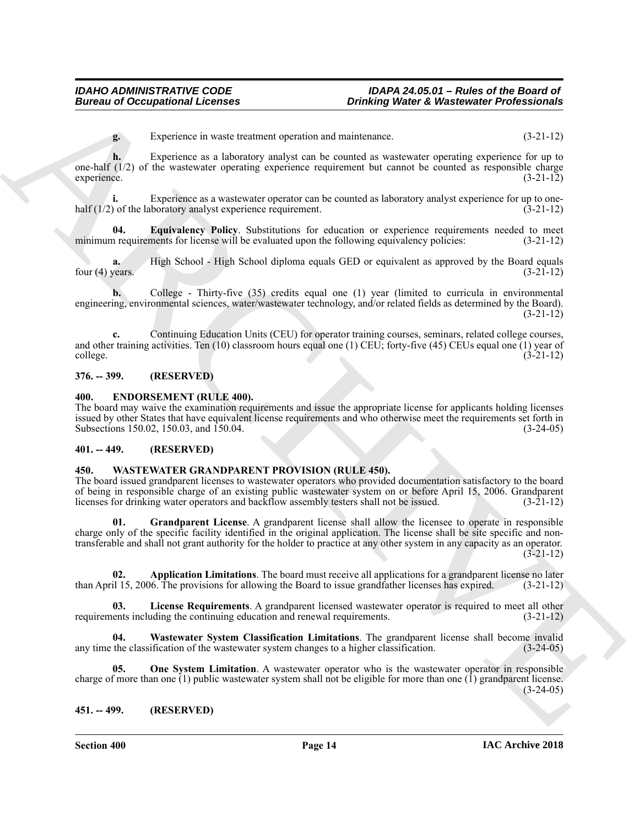**g.** Experience in waste treatment operation and maintenance. (3-21-12)

**h.** Experience as a laboratory analyst can be counted as wastewater operating experience for up to one-half (1/2) of the wastewater operating experience requirement but cannot be counted as responsible charge experience. (3-21-12)

**i.** Experience as a wastewater operator can be counted as laboratory analyst experience for up to onehalf (1/2) of the laboratory analyst experience requirement. (3-21-12)

<span id="page-13-6"></span>**04. Equivalency Policy**. Substitutions for education or experience requirements needed to meet minimum requirements for license will be evaluated upon the following equivalency policies: (3-21-12)

**a.** High School - High School diploma equals GED or equivalent as approved by the Board equals four (4) years. (3-21-12)

**b.** College - Thirty-five (35) credits equal one (1) year (limited to curricula in environmental engineering, environmental sciences, water/wastewater technology, and/or related fields as determined by the Board). (3-21-12)

**c.** Continuing Education Units (CEU) for operator training courses, seminars, related college courses, and other training activities. Ten (10) classroom hours equal one (1) CEU; forty-five (45) CEUs equal one (1) year of college. (3-21-12) college. (3-21-12)

### <span id="page-13-0"></span>**376. -- 399. (RESERVED)**

#### <span id="page-13-5"></span><span id="page-13-1"></span>**400. ENDORSEMENT (RULE 400).**

The board may waive the examination requirements and issue the appropriate license for applicants holding licenses issued by other States that have equivalent license requirements and who otherwise meet the requirements set forth in Subsections 150.02, 150.03, and 150.04. (3-24-05) (3-24-05)

#### <span id="page-13-2"></span>**401. -- 449. (RESERVED)**

#### <span id="page-13-7"></span><span id="page-13-3"></span>**450. WASTEWATER GRANDPARENT PROVISION (RULE 450).**

<span id="page-13-9"></span>The board issued grandparent licenses to wastewater operators who provided documentation satisfactory to the board of being in responsible charge of an existing public wastewater system on or before April 15, 2006. Grandparent licenses for drinking water operators and backflow assembly testers shall not be issued. (3-21-12) licenses for drinking water operators and backflow assembly testers shall not be issued.

Bureau of Occupational Licences<br>
Experience in such contrast experience and metallications of the state interesting in the state of the state of the state of the state of the state of the state of the state of the state o **01. Grandparent License**. A grandparent license shall allow the licensee to operate in responsible charge only of the specific facility identified in the original application. The license shall be site specific and nontransferable and shall not grant authority for the holder to practice at any other system in any capacity as an operator. (3-21-12)

<span id="page-13-8"></span>**02. Application Limitations**. The board must receive all applications for a grandparent license no later than April 15, 2006. The provisions for allowing the Board to issue grandfather licenses has expired. (3-21-12)

<span id="page-13-10"></span>**03. License Requirements**. A grandparent licensed wastewater operator is required to meet all other requirements including the continuing education and renewal requirements. (3-21-12)

<span id="page-13-12"></span>**04. Wastewater System Classification Limitations**. The grandparent license shall become invalid any time the classification of the wastewater system changes to a higher classification. (3-24-05)

<span id="page-13-11"></span>**05. One System Limitation**. A wastewater operator who is the wastewater operator in responsible charge of more than one  $(1)$  public wastewater system shall not be eligible for more than one  $(1)$  grandparent license.  $(3-24-05)$ 

#### <span id="page-13-4"></span>**451. -- 499. (RESERVED)**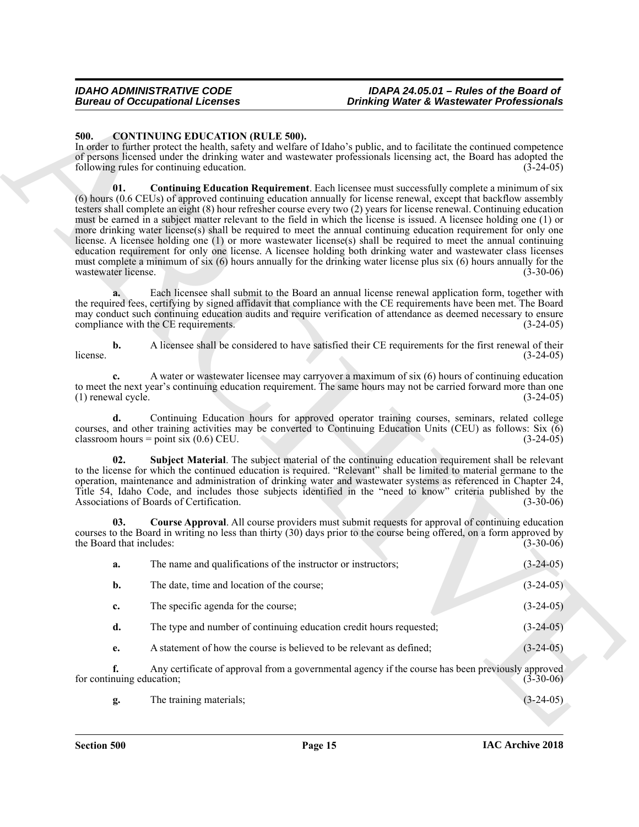#### <span id="page-14-4"></span><span id="page-14-3"></span><span id="page-14-2"></span><span id="page-14-1"></span><span id="page-14-0"></span>**500. CONTINUING EDUCATION (RULE 500).**

|                                 | <b>Bureau of Occupational Licenses</b>                                               | <b>Drinking Water &amp; Wastewater Professionals</b>                                                                                                                                                                                                                                                                                                                                                                                                                                                                                                                                                                                                                                                                                                                                                                                                                                                                                                               |             |
|---------------------------------|--------------------------------------------------------------------------------------|--------------------------------------------------------------------------------------------------------------------------------------------------------------------------------------------------------------------------------------------------------------------------------------------------------------------------------------------------------------------------------------------------------------------------------------------------------------------------------------------------------------------------------------------------------------------------------------------------------------------------------------------------------------------------------------------------------------------------------------------------------------------------------------------------------------------------------------------------------------------------------------------------------------------------------------------------------------------|-------------|
| 500.                            |                                                                                      |                                                                                                                                                                                                                                                                                                                                                                                                                                                                                                                                                                                                                                                                                                                                                                                                                                                                                                                                                                    |             |
|                                 | <b>CONTINUING EDUCATION (RULE 500).</b><br>following rules for continuing education. | In order to further protect the health, safety and welfare of Idaho's public, and to facilitate the continued competence<br>of persons licensed under the drinking water and wastewater professionals licensing act, the Board has adopted the                                                                                                                                                                                                                                                                                                                                                                                                                                                                                                                                                                                                                                                                                                                     | $(3-24-05)$ |
| 01.<br>wastewater license.      |                                                                                      | <b>Continuing Education Requirement.</b> Each licensee must successfully complete a minimum of six<br>(6) hours (0.6 CEUs) of approved continuing education annually for license renewal, except that backflow assembly<br>testers shall complete an eight (8) hour refresher course every two (2) years for license renewal. Continuing education<br>must be earned in a subject matter relevant to the field in which the license is issued. A licensee holding one (1) or<br>more drinking water license(s) shall be required to meet the annual continuing education requirement for only one<br>license. A licensee holding one (1) or more wastewater license(s) shall be required to meet the annual continuing<br>education requirement for only one license. A licensee holding both drinking water and wastewater class licenses<br>must complete a minimum of six (6) hours annually for the drinking water license plus six (6) hours annually for the | $(3-30-06)$ |
|                                 | compliance with the CE requirements.                                                 | Each licensee shall submit to the Board an annual license renewal application form, together with<br>the required fees, certifying by signed affidavit that compliance with the CE requirements have been met. The Board<br>may conduct such continuing education audits and require verification of attendance as deemed necessary to ensure                                                                                                                                                                                                                                                                                                                                                                                                                                                                                                                                                                                                                      | $(3-24-05)$ |
| b.<br>license.                  |                                                                                      | A licensee shall be considered to have satisfied their CE requirements for the first renewal of their                                                                                                                                                                                                                                                                                                                                                                                                                                                                                                                                                                                                                                                                                                                                                                                                                                                              | $(3-24-05)$ |
| c.<br>$(1)$ renewal cycle.      |                                                                                      | A water or wastewater licensee may carryover a maximum of six (6) hours of continuing education<br>to meet the next year's continuing education requirement. The same hours may not be carried forward more than one                                                                                                                                                                                                                                                                                                                                                                                                                                                                                                                                                                                                                                                                                                                                               | $(3-24-05)$ |
| d.                              | classroom hours = point six $(0.6)$ CEU.                                             | Continuing Education hours for approved operator training courses, seminars, related college<br>courses, and other training activities may be converted to Continuing Education Units (CEU) as follows: Six (6)                                                                                                                                                                                                                                                                                                                                                                                                                                                                                                                                                                                                                                                                                                                                                    | $(3-24-05)$ |
| 02.                             | Associations of Boards of Certification.                                             | Subject Material. The subject material of the continuing education requirement shall be relevant<br>to the license for which the continued education is required. "Relevant" shall be limited to material germane to the<br>operation, maintenance and administration of drinking water and wastewater systems as referenced in Chapter 24,<br>Title 54, Idaho Code, and includes those subjects identified in the "need to know" criteria published by the                                                                                                                                                                                                                                                                                                                                                                                                                                                                                                        | $(3-30-06)$ |
| 03.<br>the Board that includes: |                                                                                      | Course Approval. All course providers must submit requests for approval of continuing education<br>courses to the Board in writing no less than thirty (30) days prior to the course being offered, on a form approved by                                                                                                                                                                                                                                                                                                                                                                                                                                                                                                                                                                                                                                                                                                                                          | $(3-30-06)$ |
| a.                              | The name and qualifications of the instructor or instructors;                        |                                                                                                                                                                                                                                                                                                                                                                                                                                                                                                                                                                                                                                                                                                                                                                                                                                                                                                                                                                    | $(3-24-05)$ |
| b.                              | The date, time and location of the course;                                           |                                                                                                                                                                                                                                                                                                                                                                                                                                                                                                                                                                                                                                                                                                                                                                                                                                                                                                                                                                    | $(3-24-05)$ |
| c.                              | The specific agenda for the course;                                                  |                                                                                                                                                                                                                                                                                                                                                                                                                                                                                                                                                                                                                                                                                                                                                                                                                                                                                                                                                                    | $(3-24-05)$ |
| d.                              | The type and number of continuing education credit hours requested;                  |                                                                                                                                                                                                                                                                                                                                                                                                                                                                                                                                                                                                                                                                                                                                                                                                                                                                                                                                                                    | $(3-24-05)$ |
| e.                              | A statement of how the course is believed to be relevant as defined;                 |                                                                                                                                                                                                                                                                                                                                                                                                                                                                                                                                                                                                                                                                                                                                                                                                                                                                                                                                                                    | $(3-24-05)$ |
| f.<br>for continuing education; |                                                                                      | Any certificate of approval from a governmental agency if the course has been previously approved                                                                                                                                                                                                                                                                                                                                                                                                                                                                                                                                                                                                                                                                                                                                                                                                                                                                  | $(3-30-06)$ |
|                                 | The training materials;                                                              |                                                                                                                                                                                                                                                                                                                                                                                                                                                                                                                                                                                                                                                                                                                                                                                                                                                                                                                                                                    | $(3-24-05)$ |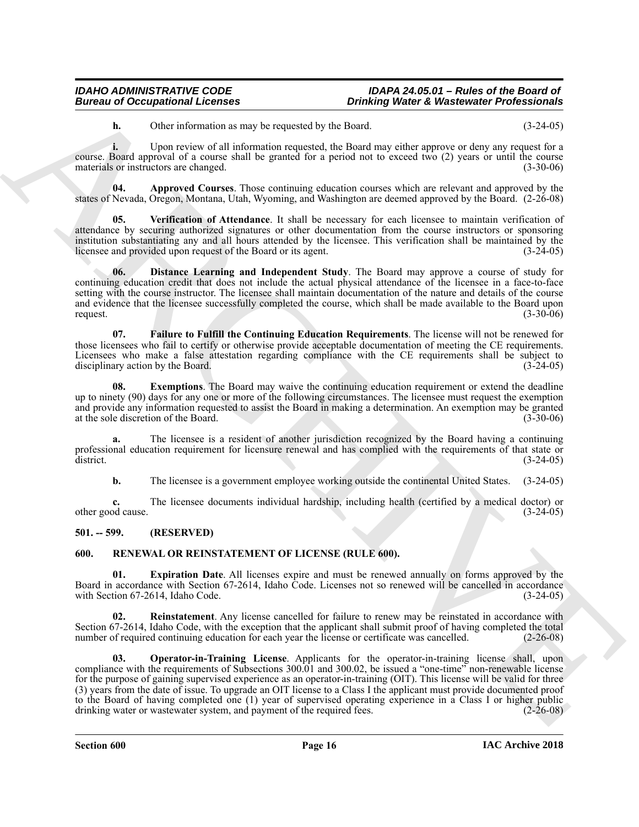<span id="page-15-2"></span>**h.** Other information as may be requested by the Board. (3-24-05)

**i.** Upon review of all information requested, the Board may either approve or deny any request for a course. Board approval of a course shall be granted for a period not to exceed two (2) years or until the course materials or instructors are changed. (3-30-06)

**04. Approved Courses**. Those continuing education courses which are relevant and approved by the states of Nevada, Oregon, Montana, Utah, Wyoming, and Washington are deemed approved by the Board. (2-26-08)

<span id="page-15-6"></span>**05. Verification of Attendance**. It shall be necessary for each licensee to maintain verification of attendance by securing authorized signatures or other documentation from the course instructors or sponsoring institution substantiating any and all hours attended by the licensee. This verification shall be maintained by the licensee and provided upon request of the Board or its agent. (3-24-05) licensee and provided upon request of the Board or its agent.

<span id="page-15-3"></span>**06. Distance Learning and Independent Study**. The Board may approve a course of study for continuing education credit that does not include the actual physical attendance of the licensee in a face-to-face setting with the course instructor. The licensee shall maintain documentation of the nature and details of the course and evidence that the licensee successfully completed the course, which shall be made available to the Board upon request.  $(3-30-06)$ 

<span id="page-15-5"></span>**07. Failure to Fulfill the Continuing Education Requirements**. The license will not be renewed for those licensees who fail to certify or otherwise provide acceptable documentation of meeting the CE requirements. Licensees who make a false attestation regarding compliance with the CE requirements shall be subject to disciplinary action by the Board. (3-24-05) (3-24-05)

<span id="page-15-4"></span>**08.** Exemptions. The Board may waive the continuing education requirement or extend the deadline up to ninety (90) days for any one or more of the following circumstances. The licensee must request the exemption and provide any information requested to assist the Board in making a determination. An exemption may be granted at the sole discretion of the Board. (3-30-06) at the sole discretion of the Board.

**a.** The licensee is a resident of another jurisdiction recognized by the Board having a continuing professional education requirement for licensure renewal and has complied with the requirements of that state or  $\frac{d}{dt}$  district. (3-24-05)

**b.** The licensee is a government employee working outside the continental United States.  $(3-24-05)$ 

**c.** The licensee documents individual hardship, including health (certified by a medical doctor) or other good cause. (3-24-05)

#### <span id="page-15-0"></span>**501. -- 599. (RESERVED)**

#### <span id="page-15-7"></span><span id="page-15-1"></span>**600. RENEWAL OR REINSTATEMENT OF LICENSE (RULE 600).**

<span id="page-15-8"></span>**01. Expiration Date**. All licenses expire and must be renewed annually on forms approved by the Board in accordance with Section 67-2614, Idaho Code. Licenses not so renewed will be cancelled in accordance with Section 67-2614, Idaho Code.

<span id="page-15-10"></span><span id="page-15-9"></span>**Reinstatement**. Any license cancelled for failure to renew may be reinstated in accordance with Section 67-2614, Idaho Code, with the exception that the applicant shall submit proof of having completed the total number of required continuing education for each year the license or certificate was cancelled. (2-26-08) number of required continuing education for each year the license or certificate was cancelled.

Bureau of Occupations of Lebens is a property of the state of Waterwaler Professionals<br>
Unit (The raction of the first of the state of the state of the state of the state of the state of the state of the state of the stat **03. Operator-in-Training License**. Applicants for the operator-in-training license shall, upon compliance with the requirements of Subsections 300.01 and 300.02, be issued a "one-time" non-renewable license for the purpose of gaining supervised experience as an operator-in-training (OIT). This license will be valid for three (3) years from the date of issue. To upgrade an OIT license to a Class I the applicant must provide documented proof to the Board of having completed one (1) year of supervised operating experience in a Class I or higher public drinking water or wastewater system, and payment of the required fees. (2-26-08)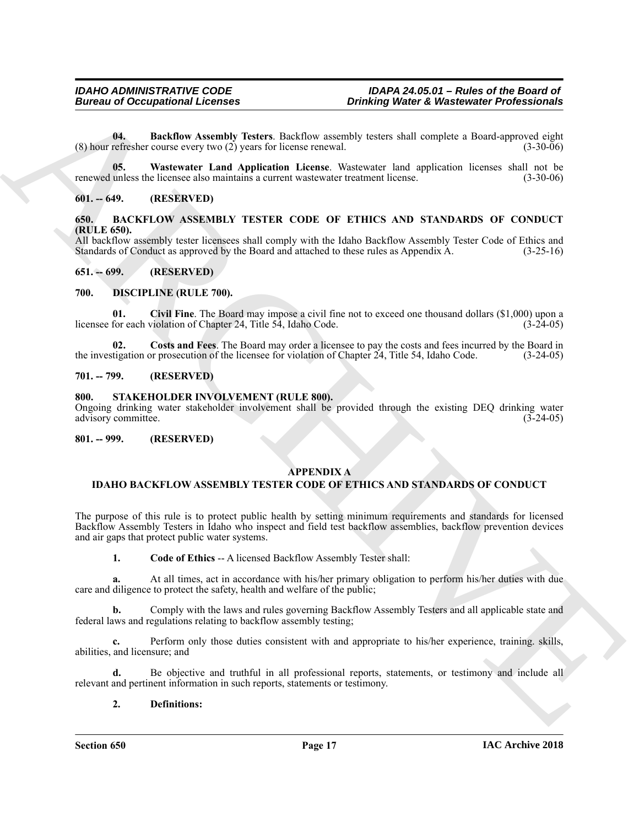<span id="page-16-12"></span>**04. Backflow Assembly Testers**. Backflow assembly testers shall complete a Board-approved eight (8) hour refresher course every two (2) years for license renewal. (3-30-06)

<span id="page-16-13"></span>**05. Wastewater Land Application License**. Wastewater land application licenses shall not be renewed unless the licensee also maintains a current wastewater treatment license. (3-30-06)

#### <span id="page-16-0"></span>**601. -- 649. (RESERVED)**

<span id="page-16-8"></span><span id="page-16-1"></span>**650. BACKFLOW ASSEMBLY TESTER CODE OF ETHICS AND STANDARDS OF CONDUCT (RULE 650).**

All backflow assembly tester licensees shall comply with the Idaho Backflow Assembly Tester Code of Ethics and Standards of Conduct as approved by the Board and attached to these rules as Appendix A. (3-25-16) Standards of Conduct as approved by the Board and attached to these rules as Appendix A.

#### <span id="page-16-2"></span>**651. -- 699. (RESERVED)**

#### <span id="page-16-9"></span><span id="page-16-3"></span>**700. DISCIPLINE (RULE 700).**

<span id="page-16-10"></span>**01. Civil Fine**. The Board may impose a civil fine not to exceed one thousand dollars (\$1,000) upon a licensee for each violation of Chapter 24, Title 54, Idaho Code.

<span id="page-16-11"></span>**02.** Costs and Fees. The Board may order a licensee to pay the costs and fees incurred by the Board in tigation or prosecution of the licensee for violation of Chapter 24, Title 54, Idaho Code. (3-24-05) the investigation or prosecution of the licensee for violation of Chapter  $24$ , Title 54, Idaho Code.

#### <span id="page-16-4"></span>**701. -- 799. (RESERVED)**

#### <span id="page-16-14"></span><span id="page-16-5"></span>**800. STAKEHOLDER INVOLVEMENT (RULE 800).**

Ongoing drinking water stakeholder involvement shall be provided through the existing DEQ drinking water advisory committee. (3-24-05)

#### <span id="page-16-6"></span>**801. -- 999. (RESERVED)**

#### <span id="page-16-7"></span>**APPENDIX A**

#### **IDAHO BACKFLOW ASSEMBLY TESTER CODE OF ETHICS AND STANDARDS OF CONDUCT**

Bureau of Occupations Informations 10 Dentifications 2016 (and the state of Maximization Professionals<br>
(b) satisfy the contract Land Application License wereld)<br>
(b) satisfy the contract Land Application License are the The purpose of this rule is to protect public health by setting minimum requirements and standards for licensed Backflow Assembly Testers in Idaho who inspect and field test backflow assemblies, backflow prevention devices and air gaps that protect public water systems.

**1. Code of Ethics** -- A licensed Backflow Assembly Tester shall:

**a.** At all times, act in accordance with his/her primary obligation to perform his/her duties with due care and diligence to protect the safety, health and welfare of the public;

**b.** Comply with the laws and rules governing Backflow Assembly Testers and all applicable state and federal laws and regulations relating to backflow assembly testing;

**c.** Perform only those duties consistent with and appropriate to his/her experience, training. skills, abilities, and licensure; and

**d.** Be objective and truthful in all professional reports, statements, or testimony and include all relevant and pertinent information in such reports, statements or testimony.

#### **2. Definitions:**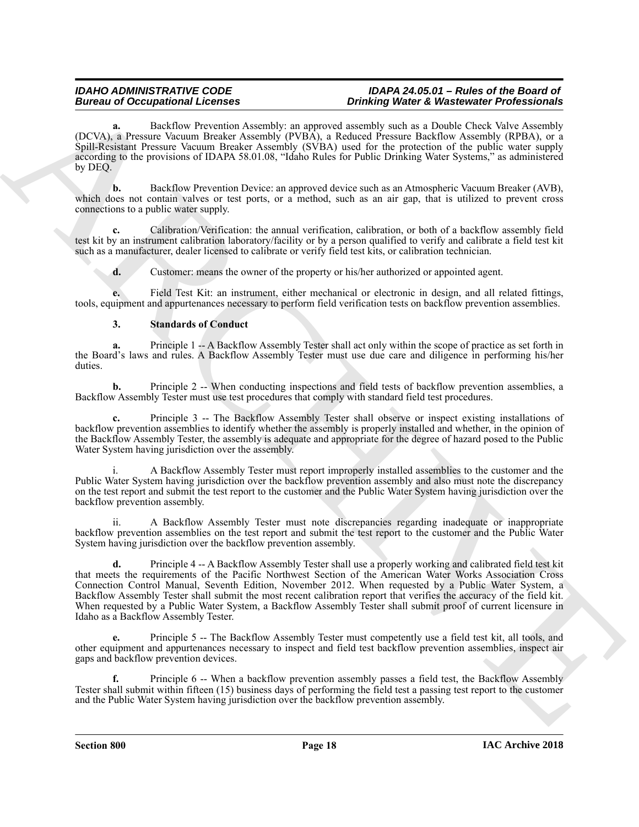Backflow Prevention Assembly: an approved assembly such as a Double Check Valve Assembly (DCVA), a Pressure Vacuum Breaker Assembly (PVBA), a Reduced Pressure Backflow Assembly (RPBA), or a Spill-Resistant Pressure Vacuum Breaker Assembly (SVBA) used for the protection of the public water supply according to the provisions of IDAPA 58.01.08, "Idaho Rules for Public Drinking Water Systems," as administered by DEQ.

**b.** Backflow Prevention Device: an approved device such as an Atmospheric Vacuum Breaker (AVB), which does not contain valves or test ports, or a method, such as an air gap, that is utilized to prevent cross connections to a public water supply.

**c.** Calibration/Verification: the annual verification, calibration, or both of a backflow assembly field test kit by an instrument calibration laboratory/facility or by a person qualified to verify and calibrate a field test kit such as a manufacturer, dealer licensed to calibrate or verify field test kits, or calibration technician.

**d.** Customer: means the owner of the property or his/her authorized or appointed agent.

**e.** Field Test Kit: an instrument, either mechanical or electronic in design, and all related fittings, tools, equipment and appurtenances necessary to perform field verification tests on backflow prevention assemblies.

#### **3. Standards of Conduct**

**a.** Principle 1 -- A Backflow Assembly Tester shall act only within the scope of practice as set forth in the Board's laws and rules. A Backflow Assembly Tester must use due care and diligence in performing his/her duties.

**b.** Principle 2 -- When conducting inspections and field tests of backflow prevention assemblies, a Backflow Assembly Tester must use test procedures that comply with standard field test procedures.

**c.** Principle 3 -- The Backflow Assembly Tester shall observe or inspect existing installations of backflow prevention assemblies to identify whether the assembly is properly installed and whether, in the opinion of the Backflow Assembly Tester, the assembly is adequate and appropriate for the degree of hazard posed to the Public Water System having jurisdiction over the assembly.

A Backflow Assembly Tester must report improperly installed assemblies to the customer and the Public Water System having jurisdiction over the backflow prevention assembly and also must note the discrepancy on the test report and submit the test report to the customer and the Public Water System having jurisdiction over the backflow prevention assembly.

A Backflow Assembly Tester must note discrepancies regarding inadequate or inappropriate backflow prevention assemblies on the test report and submit the test report to the customer and the Public Water System having jurisdiction over the backflow prevention assembly.

Bureau of Occupation of Leonors Anatolis, and providing interest Works. Where the Valent Control is the same of the same of the same of the same of the same of the same of the same of the same of the same of the same of t **d.** Principle 4 -- A Backflow Assembly Tester shall use a properly working and calibrated field test kit that meets the requirements of the Pacific Northwest Section of the American Water Works Association Cross Connection Control Manual, Seventh Edition, November 2012. When requested by a Public Water System, a Backflow Assembly Tester shall submit the most recent calibration report that verifies the accuracy of the field kit. When requested by a Public Water System, a Backflow Assembly Tester shall submit proof of current licensure in Idaho as a Backflow Assembly Tester.

**e.** Principle 5 -- The Backflow Assembly Tester must competently use a field test kit, all tools, and other equipment and appurtenances necessary to inspect and field test backflow prevention assemblies, inspect air gaps and backflow prevention devices.

**f.** Principle 6 -- When a backflow prevention assembly passes a field test, the Backflow Assembly Tester shall submit within fifteen (15) business days of performing the field test a passing test report to the customer and the Public Water System having jurisdiction over the backflow prevention assembly.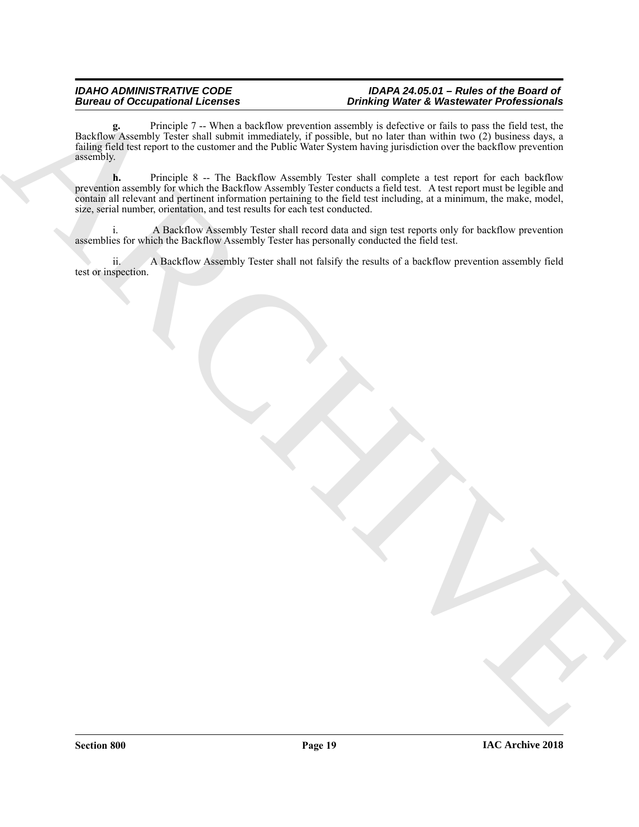**g.** Principle 7 -- When a backflow prevention assembly is defective or fails to pass the field test, the g. Principle 7 -- When a backflow prevention assembly is defective or fails to pass the field test, the Backflow Assembly Tester shall submit immediately, if possible, but no later than within two (2) business days, a failing field test report to the customer and the Public Water System having jurisdiction over the backflow prevention assembly.

Buries is a decomposition of the state of the state of the state of Waterwale Professionals<br>
Philip Collision and the state of the state of the state of the state of the state of the state of the state of the state of the **h.** Principle 8 -- The Backflow Assembly Tester shall complete a test report for each backflow prevention assembly for which the Backflow Assembly Tester conducts a field test. A test report must be legible and contain all relevant and pertinent information pertaining to the field test including, at a minimum, the make, model, size, serial number, orientation, and test results for each test conducted.

i. A Backflow Assembly Tester shall record data and sign test reports only for backflow prevention assemblies for which the Backflow Assembly Tester has personally conducted the field test.

ii. A Backflow Assembly Tester shall not falsify the results of a backflow prevention assembly field test or inspection.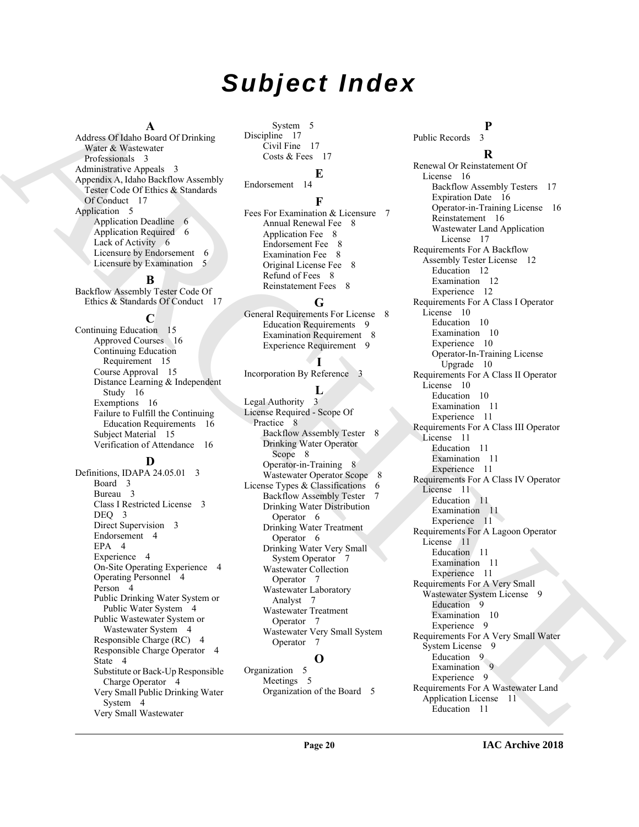# *Subject Index*

**A**

Address Of Idaho Board Of Drinking Water & Wastewater Professionals 3 Administrative Appeals 3 Appendix A, Idaho Backflow Assembly Tester Code Of Ethics & Standards Of Conduct 17 Application 5 Application Deadline 6 Application Required 6 Lack of Activity 6 Licensure by Endorsement 6 Licensure by Examination 5

#### **B**

Backflow Assembly Tester Code Of Ethics & Standards Of Conduct 17

**C**

Continuing Education 15 Approved Courses 16 Continuing Education Requirement 15 Course Approval 15 Distance Learning & Independent Study 16 Exemptions 16 Failure to Fulfill the Continuing Education Requirements 16 Subject Material 15 Verification of Attendance 16

#### **D**

Definitions, IDAPA 24.05.01 3 Board 3 Bureau 3 Class I Restricted License 3 DEO<sub>3</sub> Direct Supervision 3 Endorsement 4 EPA 4 Experience 4 On-Site Operating Experience 4 Operating Personnel 4 Person<sub>4</sub> Public Drinking Water System or Public Water System 4 Public Wastewater System or Wastewater System 4 Responsible Charge (RC) 4 Responsible Charge Operator 4 State 4 Substitute or Back-Up Responsible Charge Operator 4 Very Small Public Drinking Water System 4 Very Small Wastewater

System 5 Discipline 17 Civil Fine 17 Costs & Fees 17

### **E**

Endorsement 14

### **F**

Fees For Examination & Licensure 7 Annual Renewal Fee 8 Application Fee 8 Endorsement Fee 8 Examination Fee 8 Original License Fee 8 Refund of Fees 8 Reinstatement Fees 8

#### **G**

General Requirements For License 8 Education Requirements 9 Examination Requirement 8 Experience Requirement 9

## **I**

Incorporation By Reference 3 **L** Legal Authority 3 License Required - Scope Of Practice 8 Backflow Assembly Tester 8 Drinking Water Operator Scope 8 Operator-in-Training 8 Wastewater Operator Scope 8 License Types & Classifications 6 Backflow Assembly Tester 7 Drinking Water Distribution Operator 6 Drinking Water Treatment Operator 6 Drinking Water Very Small System Operator 7 Wastewater Collection Operator 7 Wastewater Laboratory Analyst 7 Wastewater Treatment Operator 7 Wastewater Very Small System Operator 7 **O**

Organization 5 Meetings 5 Organization of the Board 5

**P** Public Records

### **R**

[A](#page-2-10)dison Observation (Figure 1)<br>
Application (Figure 1) ( $\frac{1}{2}$  ( $\frac{1}{2}$  ( $\frac{1}{2}$  ( $\frac{1}{2}$  ( $\frac{1}{2}$  ( $\frac{1}{2}$  ( $\frac{1}{2}$  ( $\frac{1}{2}$  ( $\frac{1}{2}$  ( $\frac{1}{2}$  ( $\frac{1}{2}$  ( $\frac{1}{2}$  ( $\frac{1}{2}$  ( $\frac{1}{2}$  ( $\frac{1}{2}$  (Renewal Or Reinstatement Of License 16 Backflow Assembly Testers 17 Expiration Date 16 Operator-in-Training License 16 Reinstatement 16 Wastewater Land Application License 17 Requirements For A Backflow Assembly Tester License 12 Education 12 Examination 12 Experience 12 Requirements For A Class I Operator License 10 Education 10 Examination 10 Experience 10 Operator-In-Training License Upgrade 10 Requirements For A Class II Operator License 10 Education 10 Examination 11 Experience 11 Requirements For A Class III Operator License 11 Education 11 Examination 11 Experience 11 Requirements For A Class IV Operator License 11 Education 11 Examination 11 Experience 11 Requirements For A Lagoon Operator License 11 Education 11 Examination 11 Experience 11 Requirements For A Very Small Wastewater System License 9 Education<sub>9</sub> Examination 10 Experience 9 Requirements For A Very Small Water System License 9 Education 9 Examination 9 Experience 9 Requirements For A Wastewater Land Application License 11 Education 11